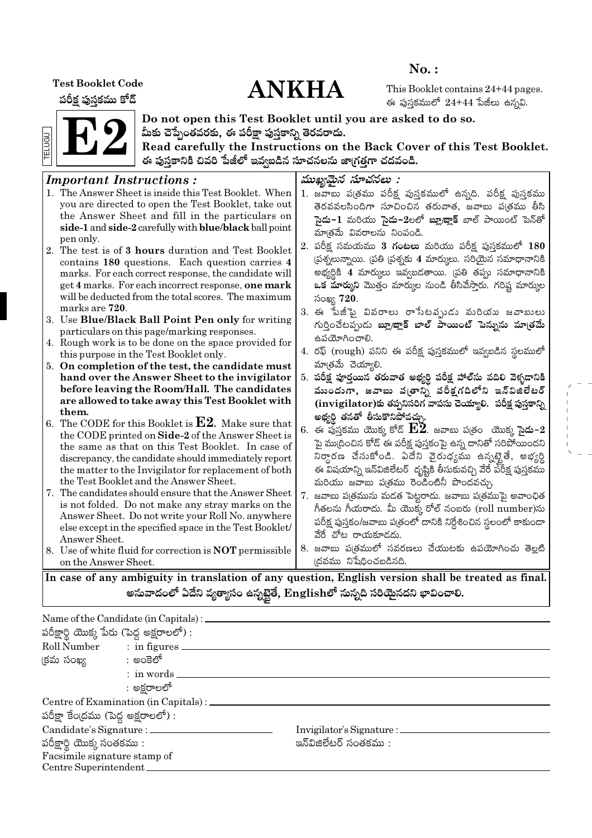**Test Booklet Code** 

పరీక్ష పుస్తకము కోడ్

# **ANKHA**

 $No.$ :

This Booklet contains 24+44 pages. ఈ పుస్తకములో  $24+44$  పేజీలు ఉన్నవి.



Do not open this Test Booklet until you are asked to do so. మీకు చెప్పేంతవరకు, ఈ పరీక్షా పుస్తకాన్ని తెరవరాదు.

Read carefully the Instructions on the Back Cover of this Test Booklet. ఈ పుస్తకానికి చివరి పేజీలో ఇవ్వబడిన సూచనలను జా(గత్తగా చదవండి.

#### ముఖ్యమైన సూచనలు : **Important Instructions:** 1. The Answer Sheet is inside this Test Booklet. When 1. జవాబు ప(తము పరీక్ష పుస్తకములో ఉన్నది. పరీక్ష పుస్తకము vou are directed to open the Test Booklet, take out తెరవవలసిందిగా సూచించిన తరువాత, జవాబు ప(తము తీసి the Answer Sheet and fill in the particulars on సై**దు−1** మరియు సై**దు−2**లలో **బ్లూబ్లాక్** బాల్ పాయింట్ పెన్తో side-1 and side-2 carefully with blue/black ball point మాత్రమే వివరాలను నింపండి. pen only. 2. పరీక్ష సమయము 3 **గంటలు** మరియు పరీక్ష పుస్తకములో 180 2. The test is of 3 hours duration and Test Booklet (పశ్నలున్నాయి. (పతి (పశ్నకు 4 మార్కులు. సరియైన సమాధానానికి contains 180 questions. Each question carries 4 అభ్యర్ధికి 4 మార్కులు ఇవ్వబడతాయి. (పతి తప్పు సమాధానానికి marks. For each correct response, the candidate will get 4 marks. For each incorrect response, one mark ఒక మార్కుని మొత్తం మార్కుల నుండి తీసివేస్తారు. గరిష్ట మార్కుల will be deducted from the total scores. The maximum సంఖ్య 720. marks are 720. 3. ఈ పేజీపై వివరాలు రాసేటవృుడు మరియు జవాబులు 3. Use Blue/Black Ball Point Pen only for writing గుర్తించేటప్పుడు బ్లూ/జ్లాక్ బాల్ పాయింట్ పెన్నును మాత్రమే particulars on this page/marking responses. ఉపయోగించాలి. 4. Rough work is to be done on the space provided for 4. రఫ్ (rough) పనిని ఈ పరీక్ష పుస్తకములో ఇవ్వబడిన స్థలములో this purpose in the Test Booklet only. మాత్రమే చెయ్యాలి. 5. On completion of the test, the candidate must 5. పరీక్ష పూర్తయిన తరువాత అభ్యర్థి పరీక్ష హాల్ ను వదిలి వెళ్ళడానికి hand over the Answer Sheet to the invigilator before leaving the Room/Hall. The candidates ముందుగా, జవాబు వ(తాన్ని పరీక్షగదిలోని ఇన్విజిలేటర్ are allowed to take away this Test Booklet with  $(i$ nvigilator)కు తప్పనిసరిగ వాపసు చెయ్యాలి. పరీక్ష పుస్తకాన్ని them. అభ్యర్థి తనతో తీసుకొనిపోవచ్చు. 6. The CODE for this Booklet is  $E2$ . Make sure that  $6.$  ఈ ఫుస్తకము యొక్క కోడ్  $\mathbf{E2}$ . జవాబు ప(తం యొక్క సైదు– $2$ the CODE printed on Side-2 of the Answer Sheet is పై ము(దించిన కోడ్ ఈ పరీక్ష పుస్తకంపై ఉన్న దానితో సరిపోయిందని the same as that on this Test Booklet. In case of నిర్ధారణ చేసుకోండి. ఏదేని వైరుధ్యము ఉన్నట్టైతే, అభ్యర్థి discrepancy, the candidate should immediately report the matter to the Invigilator for replacement of both ఈ విషయాన్ని ఇన్విజిలేటర్ దృష్టికి తీసుకువచ్చి వేరే పరీక్ష పుస్తకము the Test Booklet and the Answer Sheet. మరియు జవాబు పత్రము రెండింటినీ పొందవచ్చు. 7. The candidates should ensure that the Answer Sheet 7. జవాబు ప(త్రమును మడత పెట్టరాదు. జవాబు ప(త్రముపై అవాంఛిత is not folded. Do not make any stray marks on the గీతలను గీయరాదు. మీ యొక్క రోల్ నంబరు (roll number)ను Answer Sheet. Do not write your Roll No. anywhere పరీక్ష పుస్తకం/జవాబు పత్రంలో దానికి నిర్దేశించిన స్థలంలో కాకుండా else except in the specified space in the Test Booklet/ వేరే చోట రాయకూడదు. Answer Sheet. 8. జవాబు పఁ్రతములో సవరణలు చేయుటకు ఉపయోగించు తెల్లటి 8. Use of white fluid for correction is **NOT** permissible ।దవము నిషేధించబడినది. on the Answer Sheet.

In case of any ambiguity in translation of any question, English version shall be treated as final. అనువాదంలో ఏదేని వ్యత్యాసం ఉన్నటైతే, Englishలో నున్నది సరియైనదని భావించాలి.

|                                      | Name of the Candidate (in Capitals) :          |                                  |  |  |  |  |  |  |  |  |  |  |  |
|--------------------------------------|------------------------------------------------|----------------------------------|--|--|--|--|--|--|--|--|--|--|--|
|                                      | పరీక్షార్థి యొక్క పేరు (పెద్ద అక్షరాలలో) :     |                                  |  |  |  |  |  |  |  |  |  |  |  |
|                                      | Roll Number : in figures                       |                                  |  |  |  |  |  |  |  |  |  |  |  |
| క్రమ సంఖ్య సాంత్రా అంకెలో            |                                                |                                  |  |  |  |  |  |  |  |  |  |  |  |
|                                      | $:$ in words $\_\_$                            |                                  |  |  |  |  |  |  |  |  |  |  |  |
|                                      | : అక్షరాలలో                                    |                                  |  |  |  |  |  |  |  |  |  |  |  |
|                                      | Centre of Examination (in Capitals) : ________ |                                  |  |  |  |  |  |  |  |  |  |  |  |
| పరీక్షా కేంద్రము (పెద్ద అక్షరాలలో) : |                                                |                                  |  |  |  |  |  |  |  |  |  |  |  |
|                                      | Candidate's Signature : __________             | Invigilator's Signature : ______ |  |  |  |  |  |  |  |  |  |  |  |
| పరీక్షార్థి యొక్క సంతకము :           |                                                | ఇన్ఏజిలేటర్ సంతకము :             |  |  |  |  |  |  |  |  |  |  |  |
|                                      | Facsimile signature stamp of                   |                                  |  |  |  |  |  |  |  |  |  |  |  |
| Centre Superintendent.               |                                                |                                  |  |  |  |  |  |  |  |  |  |  |  |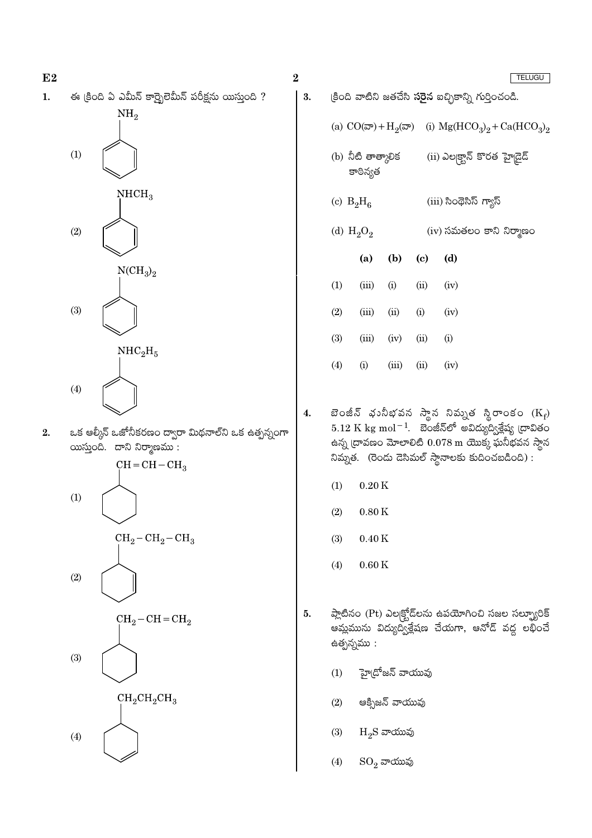|    |     |                                                                                    | $\bf{2}$ |              |                                |                        |                            | <b>TELUGU</b>                                                                                                                                                             |
|----|-----|------------------------------------------------------------------------------------|----------|--------------|--------------------------------|------------------------|----------------------------|---------------------------------------------------------------------------------------------------------------------------------------------------------------------------|
| 1. |     | ఈ క్రింది ఏ ఎమీన్ కార్బైలెమీన్ పరీక్షను యిస్తుంది ?                                | 3.       |              |                                |                        |                            | క్రింది వాటిని జతచేసి <b>సరైన</b> ఐచ్ఛికాన్ని గుర్తించండి.                                                                                                                |
|    |     | NH <sub>2</sub>                                                                    |          |              |                                |                        |                            | (a) $CO(\bar{\infty}) + H_2(\bar{\infty})$ (i) $Mg(HCO_3)_2 + Ca(HCO_3)_2$                                                                                                |
|    | (1) |                                                                                    |          |              | (b) నీటి తాత్కాలిక<br>కాఠిన్యత |                        |                            | (ii) ఎల్కక్టాన్ కొరత హైడైడ్                                                                                                                                               |
|    |     | NHCH <sub>3</sub>                                                                  |          | (c) $B_2H_6$ |                                |                        |                            | (iii) సింథెసిస్ గ్యాస్                                                                                                                                                    |
|    | (2) |                                                                                    |          |              | (d) $H_2O_2$                   |                        |                            | (iv) సమతలం కాని నిర్మాణం                                                                                                                                                  |
|    |     | $\rm NCH_3)_2$                                                                     |          |              | (a)                            | (b)                    | $\left( \mathrm{c}\right)$ | (d)                                                                                                                                                                       |
|    |     |                                                                                    |          | (1)          | (iii)                          | (i)                    | (ii)                       | (iv)                                                                                                                                                                      |
|    | (3) |                                                                                    |          | (2)          | (iii)                          | (ii)                   | (i)                        | (iv)                                                                                                                                                                      |
|    |     | NHC <sub>2</sub> H <sub>5</sub>                                                    |          | (3)          | (iii)                          | (iv)                   | (ii)                       | (i)                                                                                                                                                                       |
|    |     |                                                                                    |          | (4)          | (i)                            | (iii)                  | (ii)                       | (iv)                                                                                                                                                                      |
| 2. | (4) | ఒక ఆల్కీన్ ఒజోనీకరణం ద్వారా మిథనాల్ని ఒక ఉత్పన్నంగా<br>యిస్తుంది. దాని నిర్మాణము : | 4.       |              |                                |                        |                            | బెంజీన్ భునీభవన స్థాన నిమ్నత స్థిరాంకం $(K_f)$<br>$5.12\ {\rm K\ kg\ mol^{-1}}$ . బెంజీన్లో అవిద్యుద్విశ్లేష్య (దావితం<br>ఉన్న [దావణం మోలాలిటి 0.078 m యొక్క ఘనీభవన స్థాన |
|    |     | $CH = CH - CH3$                                                                    |          |              |                                |                        |                            | నిమ్నత. (రెండు దెసిమల్ స్థానాలకు కుదించబడింది) :                                                                                                                          |
|    | (1) |                                                                                    |          | (1)          | $0.20\,\mathrm{K}$             |                        |                            |                                                                                                                                                                           |
|    |     |                                                                                    |          | (2)          | 0.80K                          |                        |                            |                                                                                                                                                                           |
|    |     | $CH_2-CH_2-CH_3$                                                                   |          | (3)          | $0.40\,\mathrm{K}$             |                        |                            |                                                                                                                                                                           |
|    | (2) |                                                                                    |          | (4)          | $0.60\,\mathrm{K}$             |                        |                            |                                                                                                                                                                           |
|    |     | $CH_2-CH=CH_2$                                                                     | 5.       |              | ఉత్పన్నము :                    |                        |                            | ప్లాటినం (Pt) ఎల్కక్టోడ్లను ఉపయోగించి సజల సల్ఫ్యూరిక్<br>ఆమ్లమును విద్యుద్విశ్లేషణ చేయగా, ఆనోడ్ వద్ద లభించే                                                               |
|    | (3) |                                                                                    |          | (1)          |                                | హై(దోజన్ వాయువు        |                            |                                                                                                                                                                           |
|    |     | $CH_2CH_2CH_3$                                                                     |          | (2)          |                                | ఆక్సిజన్ వాయువు        |                            |                                                                                                                                                                           |
|    | (4) |                                                                                    |          | (3)          |                                | $H_2S$ వాయువు          |                            |                                                                                                                                                                           |
|    |     |                                                                                    |          | (4)          |                                | $\mathrm{SO}_2$ వాయువు |                            |                                                                                                                                                                           |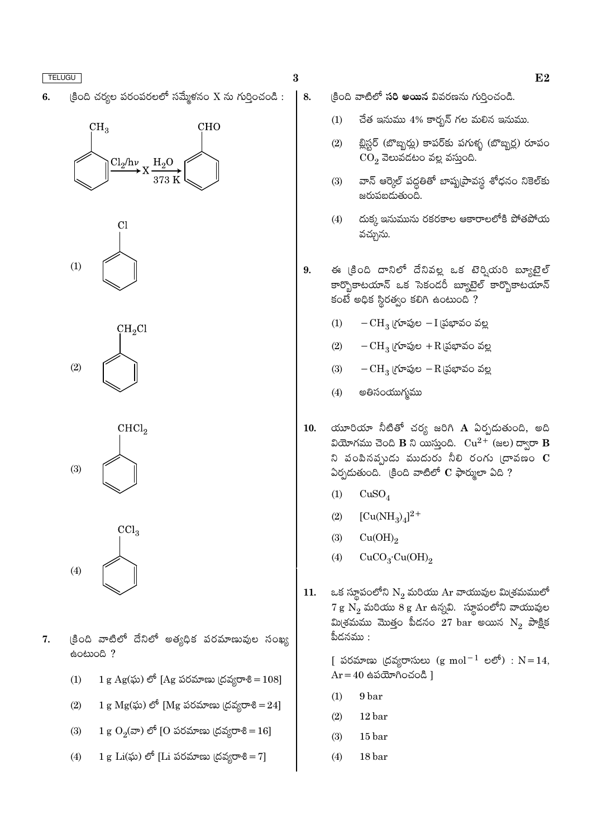$\beta$ ంది చర్యల పరంపరలలో సమ్మేళనం X ను గుర్తించండి : 6.

## $CH<sub>3</sub>$ **CHO**  $Cl<sub>2</sub>/h\nu$  $H_2O$





 $CHCl<sub>2</sub>$  $(3)$ 

 $CCl<sub>3</sub>$  $(4)$ 

- క్రింది వాటిలో దేనిలో అత్యధిక పరమాణువుల సంఖ్య  $7.$ eomog ?
	- $1 g Ag(x)$  లో [Ag పరమాణు (దవ్యరాశి =  $108$ ]  $(1)$
	- $(2)$ 1 g  $Mg(x)$ ) లో [Mg పరమాణు (దవ్యరాశి = 24]
	- 1 g  $O_2(\infty)$  లో [O పరమాణు (దవ్యరాశి = 16]  $(3)$
	- $(4)$ 1 g Li $(\tilde{\omega})$  లో [Li పరమాణు (దవ్యరాశి = 7]

 $\bf{3}$ 

 $\vert$  8.

- కింది వాటిలో **సరి అయిన** వివరణను గురించండి.
	- $(1)$ చేత ఇనుము  $4\%$  కార్బన్ గల మలిన ఇనుము.
	- బ్లిస్టర్ (బొబ్బర్లు) కాపర్కు పగుళ్ళ (బొబ్బర్ల) రూపం  $(2)$  $CO<sub>2</sub>$  వెలువడటం వల్ల వస్తుంది.
	- వాన్ ఆర్కెల్ పద్దతితో బాష్పట్రావస్థ శోధనం నికెల్కు  $(3)$ జరుపబడుతుంది.
	- దుక్క ఇనుమును రకరకాల ఆకారాలలోకి పోతపోయ  $(4)$ వచ్చును.
- ఈ క్రింది దానిలో దేనివల్ల ఒక టెర్నియరి బ్యూటైల్  $9<sub>1</sub>$ కార్భొకాటయాన్ ఒక సెకండరీ బ్యూటైల్ కార్భొకాటయాన్ కంటే అధిక స్థిరత్వం కలిగి ఉంటుంది ?
	- $-CH<sub>3</sub>$  (గూపుల $-I$  (పభావం వల్ల  $(1)$
	- $(2)$  $-CH<sub>3</sub>$  (గూపుల  $+R$ (పభావం వల్ల
	- $(3)$  $-CH_3$  (గూపుల  $-R$  (పభావం వల్ల
	- అతిసంయుగ్మము  $(4)$
- యూరియా నీటితో చర్య జరిగి  $\bf A$  ఏర్పడుతుంది, అది 10. వియోగము చెంది B ని యిస్తుంది.  $Cu^{2+}$  (జల) ద్వారా B ని పంపినప్పుడు ముదురు నీలి రంగు (దావణం  $\, {\bf C} \,$  $\delta$ රායාණංයි. (පීංයි వాటిలో  $C$  ఫార్ములా ఏది ?
	- $(1)$  $CuSO<sub>4</sub>$
	- $[Cu(NH_3)_4]^2$ <sup>+</sup>  $(2)$
	- $(3)$  $Cu(OH)_{2}$
	- $CuCO<sub>3</sub>·Cu(OH)<sub>2</sub>$  $(4)$
- ఒక స్థూపంలోని  $N_2$  మరియు Ar వాయువుల మి(శమములో 11.  $7\,\mathrm{g}\,\,\mathrm{N}_2$  మరియు  $8\,\mathrm{g}\,\,\mathrm{Ar}$  ఉన్నవి. స్థూపంలోని వాయువుల మి(శమము మొత్తం పీడనం  $27~{\rm bar}$  అయిన  $\rm N^{}_2$  పాక్షిక పీదనము :

[ పరమాణు (దవ్యరాసులు (g mol<sup>-1</sup> లలో) :  $N = 14$ ,  $Ar = 40$  ఉపయోగించండి ]

- 9 bar  $(1)$
- $(2)$  $12<sub>bar</sub>$
- $(3)$  $15<sub>bar</sub>$
- $(4)$ 18 bar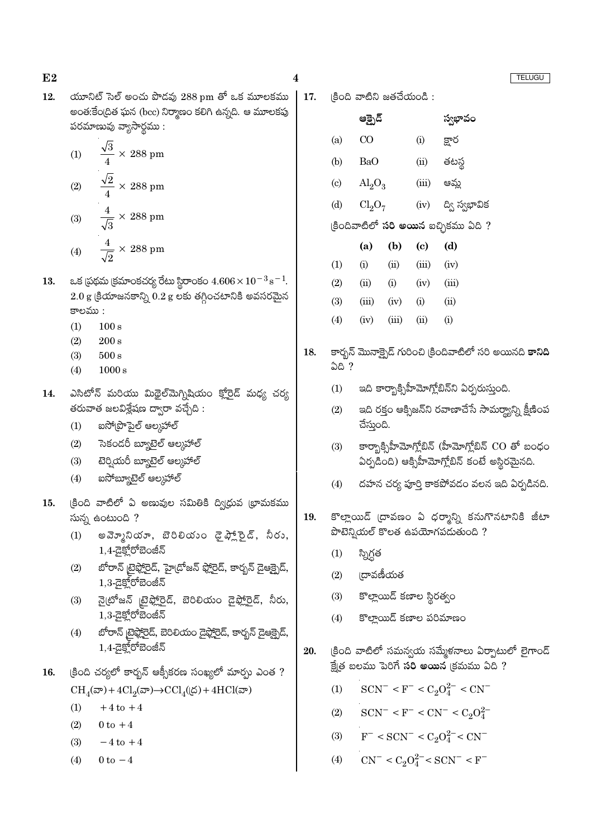| న (bcc) నిర్మాణం కలిగి ఉన్నది. ఆ మూలకపు                                                                               |     |                            | ఆక్పైడ్                                                                                             |                                                      |       | స్వభావం                                                                             |  |  |
|-----------------------------------------------------------------------------------------------------------------------|-----|----------------------------|-----------------------------------------------------------------------------------------------------|------------------------------------------------------|-------|-------------------------------------------------------------------------------------|--|--|
| సార్థము :                                                                                                             |     | (a)                        | CO                                                                                                  |                                                      | (i)   | క్షార                                                                               |  |  |
| $288 \text{ pm}$                                                                                                      |     | (b)                        | BaO                                                                                                 |                                                      | (ii)  | తటస్థ                                                                               |  |  |
|                                                                                                                       |     |                            |                                                                                                     |                                                      |       |                                                                                     |  |  |
| 288 pm                                                                                                                |     | $\left( \mathrm{c}\right)$ | $\text{Al}_2\text{O}_3$                                                                             |                                                      | (iii) | ఆమ్ల                                                                                |  |  |
| $288 \text{ pm}$                                                                                                      |     | (d)                        | Cl <sub>2</sub> O <sub>7</sub>                                                                      |                                                      | (iv)  | ద్వి స్వభావిక                                                                       |  |  |
|                                                                                                                       |     |                            |                                                                                                     |                                                      |       | (కిందివాటిలో <b>సరి అయిన</b> ఐచ్ఛికము ఏది ?                                         |  |  |
| $288 \text{ pm}$                                                                                                      |     |                            | (a)                                                                                                 | (b)                                                  | (c)   | (d)                                                                                 |  |  |
|                                                                                                                       |     | (1)                        | (i)                                                                                                 | (ii)                                                 | (iii) | (iv)                                                                                |  |  |
| ంకచర్య రేటు స్థిరాంకం $4.606 \times 10^{-3}$ $\mathrm{s}^{-1}$ .                                                      |     | (2)                        | (ii)                                                                                                | (i)                                                  | (iv)  | (iii)                                                                               |  |  |
| కాన్ని $0.2$ g లకు తగ్గించటానికి అవసరమైన                                                                              |     | (3)                        | (iii)                                                                                               | (iv)                                                 | (i)   | (ii)                                                                                |  |  |
|                                                                                                                       |     | (4)                        | (iv)                                                                                                | (iii)                                                | (ii)  | (i)                                                                                 |  |  |
|                                                                                                                       | 18. | ఏది ?                      |                                                                                                     |                                                      |       | కార్బన్ మొనాక్పైడ్ గురించి (కిందివాటిలో సరి అయినది <b>కానిది</b>                    |  |  |
| ఘ మిథైల్మెగ్నిషియం క్ <u>లోర</u> ెడ్ మధ్య చర్య                                                                        |     | (1)                        |                                                                                                     |                                                      |       | ఇది కార్బాక్సిహీమోగ్లోబిన్ని ఏర్పరుస్తుంది.                                         |  |  |
| క్షేషణ ద్వారా వచ్చేది :<br>స్టల్ ఆల్కహాల్                                                                             |     | (2)                        | చేస్తుంది.                                                                                          |                                                      |       | ఇది రక్తం ఆక్సిజన్ని రవాణాచేసే సామర్థ్యాన్ని క్షీణింప                               |  |  |
| బ్యూటైల్ ఆల్కహాల్<br>బ్యూటైల్ ఆల్కహాల్                                                                                |     | (3)                        | కార్బాక్సిహీమోగ్లోబిన్ (హీమోగ్లోబిన్ $CO$ తో బంధం<br>ఏర్పడింది) ఆక్సిహీమోగ్లోబిన్ కంటే అస్థిరమైనది. |                                                      |       |                                                                                     |  |  |
| టైల్ ఆల్కహాల్                                                                                                         |     | (4)                        |                                                                                                     |                                                      |       | దహన చర్య పూర్తి కాకపోవడం వలన ఇది ఏర్పడినది.                                         |  |  |
| ఏ అణువుల సమితికి ద్వ <mark>ి</mark> ధ్రువ (భామకము<br>$\overline{?}$<br>)యూ, బెరిలియం డైఫ్ల్లోరైడ్, నీరు,<br>రోబెంజీన్ | 19. |                            |                                                                                                     |                                                      |       | కొల్లాయిడ్ (దావణం ఏ ధర్మాన్ని కనుగొనటానికి జీటా<br>పొటెన్నియల్ కొలత ఉపయోగపడుతుంది ? |  |  |
| <u>ుెఫ్టోర</u> ెడ్, హై(దోజన్ ఫ్లోరైడ్, కార్బన్ డైఆక్బైడ్,                                                             |     | (1)                        | స్నిగ్ధత                                                                                            |                                                      |       |                                                                                     |  |  |
| రోబెంజీన్                                                                                                             |     | (2)                        |                                                                                                     | <b>ద్రావణీయత</b>                                     |       |                                                                                     |  |  |
| ్ ట్రైఫ్లోరైడ్, బెరిలియం డైఫ్లోరైడ్, నీరు,<br>రోబెంజీన్                                                               |     | (3)<br>(4)                 |                                                                                                     | కొల్లాయిడ్ కణాల స్థిరత్వం<br>కొల్హాయిడ్ కణాల పరిమాణం |       |                                                                                     |  |  |
| రైఫ్లోరైడ్, బెరిలియం డైఫ్లోరైడ్, కార్బన్ డైఆక్పైడ్,<br>రోబెంజీన్                                                      | 20. |                            |                                                                                                     |                                                      |       | (కింది వాటిలో సమన్వయ సమ్మేళనాలు ఏర్పాటులో లైగాండ్                                   |  |  |
| •ర్భన్ ఆక్సీకరణ సంఖ్యలో మార్పు ఎంత ?                                                                                  |     |                            |                                                                                                     |                                                      |       | క్షేత్ర బలము పెరిగే సరి అయిన క్రమము ఏది ?                                           |  |  |
| $l_2(\infty) \rightarrow CCl_4(\&) + 4HCl(\infty)$                                                                    |     | (1)                        |                                                                                                     |                                                      |       | $SCN^- < F^- < C_2O_4^{2-} < CN^-$                                                  |  |  |
| $+4$                                                                                                                  |     | (2)                        |                                                                                                     |                                                      |       | $SCN^- < F^- < CN^- < C_2O_4^{2-}$                                                  |  |  |
|                                                                                                                       |     | (3)                        |                                                                                                     |                                                      |       | $F^-$ < SCN <sup>-</sup> < $C_2O_4^{2-}$ < CN <sup>-</sup>                          |  |  |
| +4                                                                                                                    |     |                            |                                                                                                     |                                                      |       |                                                                                     |  |  |
|                                                                                                                       |     | (4)                        |                                                                                                     |                                                      |       | $CN^- < C_2O_4^{2-} < SCN^- < F^-$                                                  |  |  |

యూనిట్ సెల్ అంచు పొడవు  $288\,\mathrm{pm}$  తో ఒక మూలకము  $\mid$  17.  $\mid$ కింది వాటిని జతచేయండి :  $12.$ అంత:కేంద్రిత ఘ పరమాణువు వ్యా

 $\frac{\sqrt{3}}{4}$   $\times$  $(1)$  $rac{\sqrt{2}}{4}$   $\times$ <br> $rac{4}{\sqrt{3}}$   $\times$  $(2)$  $(3)$ 

- $\frac{4}{\sqrt{2}}$  ×  $(4)$
- 13. ఒక (పథమ (క్రమా  $2.0$  g (కియాజన కాలము :
	- $100 s$  $(1)$
	- $200 s$  $(2)$
	- $(3)$  $500 s$
	- $(4)$  $1000 s$
- ఎసిటోన్ మరియ 14. తరువాత జలవిశ్లే
	- $(1)$ ಐನಿ್(ಪ್ರೌ
	- సెకండరీ  $(2)$
	- **టె**ర్ఫియరీ  $(3)$
	- $(4)$ ಐನ್ಐಸ್ಟ್
- క్రింది వాటిలో శ 15. సున్న ఉంటుంది
	- అవె్నూని  $(1)$  $1,4$ - $\overline{G}$  $\overline{S}^{6}$
	- బోరాన్ <sub>క్</sub>  $(2)$  $1,3$ -ුදුම්
	- నై(టోజన్  $(3)$  $1,3 - 25$
	- బోరాన్ టై  $(4)$  $1,4$ -ධූහි
- (కింది చర్యలో కా 16.  $CH_4(\overline{\infty})+4Cl$ 
	- $+4$  to  $(1)$
	- $(2)$  $0 \text{ to } +4$
	- $(3)$  $-4$  to -
	- $0 \text{ to } -4$  $(4)$

 $\boldsymbol{4}$ 

**TELUGU** 

 $E2$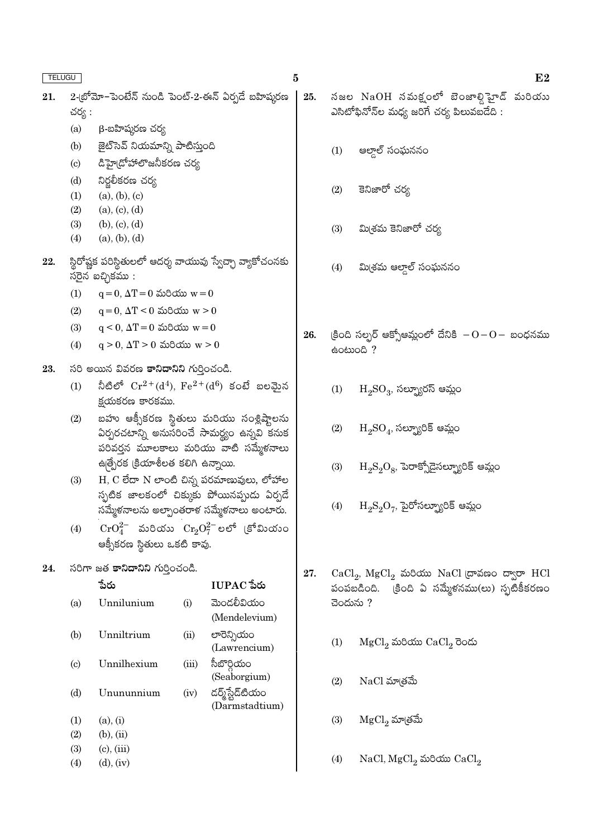- 2-(బోమో–పెంటేన్ నుండి పెంట్-2-ఈన్ ఏర్పడే బహిషురణ 21. చర్య :
	- $(a)$  $\beta$ -బహిషురణ చర్య
	- జైట్ సెవ్ నియమాన్ని పాటిస్తుంది  $(b)$
	- డిహై(దోహాలొజనీకరణ చర్య  $(c)$
	- నిర్జలీకరణ చర్య  $(d)$
	- $(a), (b), (c)$  $(1)$
	- $(2)$  $(a), (c), (d)$
	- $(3)$  $(b), (c), (d)$
	- $(4)$  $(a), (b), (d)$
- స్థిరోష్ణక పరిస్థితులలో ఆదర్శ వాయువు స్వేచ్ఛా వ్యాకోచంనకు 22. సరైన ఐచ్చికము :
	- $q = 0$ ,  $\Delta T = 0$  మరియు  $w = 0$  $(1)$
	- $q = 0$ ,  $\Delta T < 0$  మరియు  $w > 0$  $(2)$
	- $(3)$  $q < 0$ ,  $\Delta T = 0$  మరియు  $w = 0$
	- $q > 0$ ,  $\Delta T > 0$  మరియు  $w > 0$  $(4)$
- 23. సరి అయిన వివరణ కానిదానిని గుర్తించండి.
	- నీటిలో  $Cr^{2+}(d^4)$ ,  $Fe^{2+}(d^6)$  కంటే బలమైన  $(1)$ క్రయకరణ కారకము.
	- బహు ఆక్సీకరణ స్థితులు మరియు సంశ్లిష్టాలను  $(2)$ .<br>ఏర్పరచటాన్ని అనుసరించే సామర్థ్యం ఉన్నవి కనుక పరివర్తన మూలకాలు మరియు వాటి సమ్మేళనాలు ఉత్పేరక క్రియాశీలత కలిగి ఉన్నాయి.
	- H, C లేదా N లాంటి చిన్న పరమాణువులు, లోహాల  $(3)$ స్పటిక జాలకంలో చిక్కుకు పోయినప్పుడు ఏర్పడే సమ్మేకనాలను అల్పాంతరాక సమ్మేకనాలు అంటారు.
	- $\mathrm{CrO}_4^{2-}$  మరియు  $\mathrm{Cr}_2\mathrm{O}_7^{2-}$ లలో (కోవిుయం  $(4)$ ఆక్సీకరణ స్థితులు ఒకటి కావు.

#### సరిగా జత కానిదానిని గుర్తించండి. 24.

|                            | పెరు            |       | TUPAC పేరు       |
|----------------------------|-----------------|-------|------------------|
| (a)                        | Unnilunium      | (i)   | మెండలీవియం       |
|                            |                 |       | (Mendelevium)    |
| (b)                        | Unniltrium      | (ii)  | లారెన్సియం       |
|                            |                 |       | (Lawrencium)     |
| $\left( \mathrm{c}\right)$ | Unnilhexium     | (iii) | సీబొర్గియం       |
|                            |                 |       | (Seaborgium)     |
| (d)                        | Unununnium      | (iv)  | డర్మ్హేష్టడ్టియం |
|                            |                 |       | (Darmstadtium)   |
| (1)                        | (a), (i)        |       |                  |
| (2)                        | $(b)$ , $(ii)$  |       |                  |
| (3)                        | $(c)$ , $(iii)$ |       |                  |
| (4)                        | $(d)$ , $(iv)$  |       |                  |
|                            |                 |       |                  |

- నజల  $\mathrm{NaOH}$  నమక్షంలో బెంజాల్డిహైడ్ మరియు 25. ఎసిటోఫినోన్ల మధ్య జరిగే చర్య పిలువబడేది :
	- ఆల్డాల్ సంఘననం  $(1)$
	- కెనిజారో చర్య  $(2)$
	- మి(శమ కెనిజారో చర్య  $(3)$
	- మిశ్రమ ఆల్గాల్ సంఘననం  $(4)$
- (కింది సల్పర్ ఆక్సోఆమ్లంలో దేనికి  $-0-0-$  బంధనము 26. eocood ?
	- $\mathrm{H_{2}SO_{3}}$ , సల్ఫ్యూరస్ ఆమ్లం  $(1)$
	- $H_2SO_4$ , సల్బ్యూరిక్ ఆమ్లం  $(2)$
	- $H_2S_2O_8$ , పెరాక్సోడైసల్బ్యూరిక్ ఆమ్లం  $(3)$
	- $H_2S_2O_7$ , పైరోసల్బ్యూరిక్ ఆమ్లం  $(4)$
- CaCl<sub>2</sub>, MgCl<sub>2</sub> మరియు NaCl ద్రావణం ద్వారా HCl 27. పంపబడింది.  $\overline{\phantom{a}}$ కింది ఏ సమ్మేళనము(లు) స్ఫటికీకరణం చెందును ?
	- $MgCl<sub>2</sub>$  మరియు  $CaCl<sub>2</sub>$  రెండు  $(1)$
	- $NaCl$  మా $\check{\rm s}$ మే  $(2)$
	- $(3)$  $MgCl<sub>2</sub>$  మా(తమే
	- $(4)$  $NaCl, MgCl<sub>2</sub>$  మరియు  $CaCl<sub>2</sub>$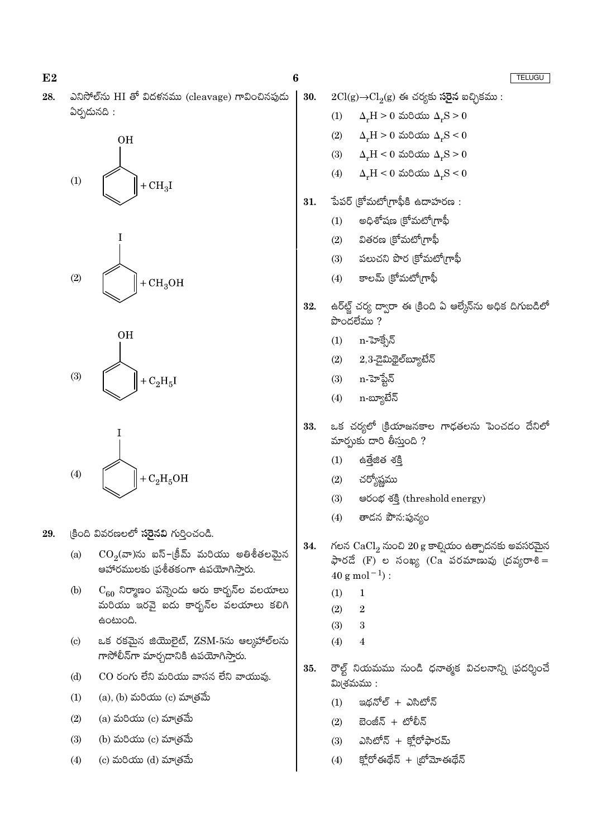$E2$  $\boldsymbol{6}$ TELUGU ఎనిసోల్ ను HI తో విదళనము (cleavage) గావించినపుడు 28. 30.  $2Cl(g) \rightarrow Cl_2(g)$  ఈ చర్యకు సరైన ఐచ్చికము: ఏర్పడునది:  $(1)$  $\Delta F = 0$  మరియు  $\Delta F = 0$  $\Delta_r H > 0$  మరియు  $\Delta_r S < 0$  $(2)$ **OH**  $(3)$  $\Delta_r H < 0$  మరియు  $\Delta_r S > 0$  $\Delta_r H \leq 0$  మరియు  $\Delta_r S \leq 0$  $(4)$  $(1)$  $+CH<sub>3</sub>I$ పేపర్ (కోమటో(గాఫీకి ఉదాహరణ : 31. అధిశోషణ (కోమటో(గాఫీ  $(1)$  $(2)$ వితరణ (కోమటో(గాఫీ పలుచని పొర క్రోమటో(గాఫీ  $(3)$ కాలమ్ (కోమటో(గాఫీ  $(2)$  $(4)$  $+CH<sub>3</sub>OH$ ఉర్ఆర్ట్ చర్య ద్వారా ఈ క్రింది ఏ ఆల్కేన్ను అధిక దిగుబడిలో 32.  $\overline{\mathbf{C}}$ ဝ $\overline{\mathbf{C}}$ වේಮು ? **OH** n-హెక్సేన్  $(1)$  $2,3$ -డైమిథైల్ బ్యూటేన్  $(2)$  $(3)$ n-హెప్టేన్  $(3)$  $+ C<sub>2</sub>H<sub>5</sub>I$ n-బ్యూటేన్  $(4)$ ఒక చర్యలో క్రియాజనకాల గాఢతలను పెంచడం దేనిలో 33. మార్గుకు దారి తీస్తుంది ? ఉత్తేజిత శక్తి  $(1)$  $(4)$  $+ C<sub>2</sub>H<sub>5</sub>OH$  $(2)$ చర్యోష్ణము පරංభ శక్తి (threshold energy)  $(3)$ తాడన పౌన:ఫున్యం  $(4)$ 29. క్రింది వివరణలలో **సరైనవి** గుర్తించండి. గలన  $CaCl<sub>2</sub>$  నుంచి 20 g కాల్వియం ఉత్పాదనకు అవసరమైన 34.  $CO<sub>2</sub>(a)$ ను ఐస్–క్రీమ్ మరియు అతిశీతలమైన  $(a)$ ఫారదే (F) ల సంఖ్య (Ca పరమాణువు (దవ్యరాశి= ఆహారములకు (ప్రశీతకంగా ఉపయోగిస్తారు.  $40$  g mol<sup>-1</sup>):  $\mathrm{C}_{60}$  నిర్మాణం పన్నెండు ఆరు కార్బన్ల వలయాలు  $(b)$  $(1)$  $\mathbf{1}$ మరియు ఇరవై ఐదు కారృన్ల వలయాలు కలిగి  $(2)$  $\overline{2}$ ఉంటుంది.  $(3)$ 3 ఒక రకమైన జియొలైట్, ZSM-5ను ఆలుహాల్లను  $\left( \mathrm{c}\right)$  $(4)$  $\overline{4}$ గాసోలీన్గా మార్చడానికి ఉపయోగిస్తారు. రౌల్ట్ నియమము నుండి ధనాత్మక విచలనాన్ని (పదర్శించే 35.  $CO$  రంగు లేని మరియు వాసన లేని వాయువు.  $(d)$ మి(శమము:  $(a)$ ,  $(b)$  మరియు  $(c)$  మాత్రమే  $(1)$ ఇథనోల్ + ఎసిటోన్  $(1)$  $(a)$  మరియు  $(c)$  మా $(\check{\mathrm{ad}})$  $(2)$ బెంజీన్ + టోలీన్  $(2)$ (b) మరియు $(c)$  మా $(e)$ ఎసిటోన్ + క్లోరోఫారమ్  $(3)$  $(3)$ క్తోరోఈథేన్ + బోమోఈథేన్  $(4)$  $(c)$  మరియు  $(d)$  మా $(d)$  $(4)$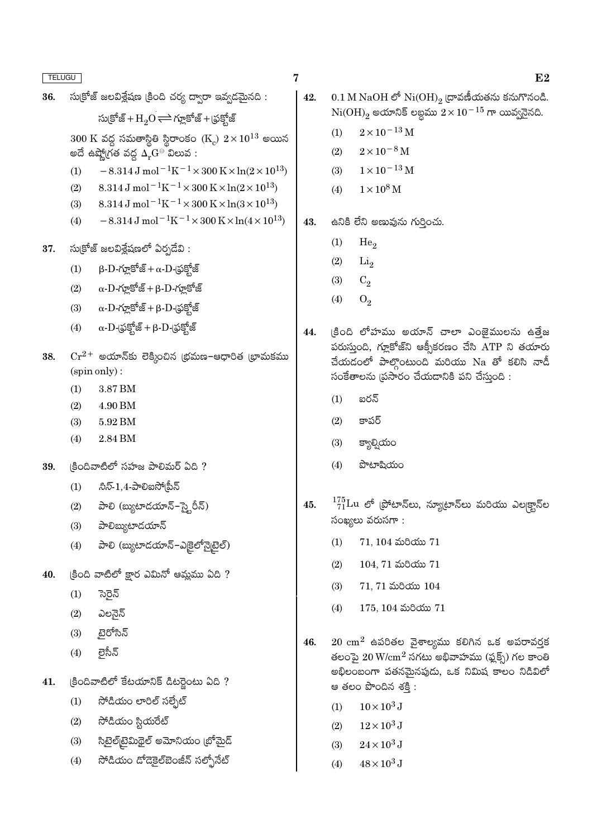| <b>TELUGU</b> |     | 7                                                                                                                                                       |
|---------------|-----|---------------------------------------------------------------------------------------------------------------------------------------------------------|
| 36.           |     | సుక్రోజ్ జలవిశ్లేషణ (కింది చర్య ద్వారా ఇవ్వడమైనది :                                                                                                     |
|               |     | సుక్రోజ్ + $H_2O \rightleftharpoons$ గ్లూకోజ్ + (ఫక్హోజ్                                                                                                |
|               |     | $300~\rm{K}$ వద్ద సమతాస్థితి స్థిరాంకం $\rm{(K^{}_c)}$ $2\!\times\!10^{13}$ అయిన<br>అదే ఉష్ణో(గత వద్ద $\Delta_{\mathbf{r}}\mathbf{G}^{\ominus}$ విలువ : |
|               | (1) | $-8.314 \,\mathrm{J}$ mol <sup>-1</sup> K <sup>-1</sup> ×300 K×ln(2×10 <sup>13</sup> )                                                                  |
|               |     | (2) $8.314 \text{ J mol}^{-1}\text{K}^{-1} \times 300 \text{ K} \times \ln(2 \times 10^{13})$                                                           |
|               |     | (3) $8.314 \,\mathrm{J} \,\mathrm{mol}^{-1} \mathrm{K}^{-1} \times 300 \,\mathrm{K} \times \ln(3 \times 10^{13})$                                       |
|               |     | (4) $-8.314 \,\mathrm{J} \,\mathrm{mol}^{-1} \mathrm{K}^{-1} \times 300 \,\mathrm{K} \times \ln(4 \times 10^{13})$                                      |
| 37.           |     | సుక్రోజ్ జలవిశ్లేషణలో ఏర్పడేవి :                                                                                                                        |
|               | (1) | $\beta$ - $D$ -గ్లూకోజ్ + $\alpha$ - $D$ -(ఫక్హోజ్                                                                                                      |
|               |     | $(2)$ $\alpha$ -D-గ్లూకోజ్ + β-D-గ్లూకోజ్                                                                                                               |
|               |     | (3) $\alpha$ -D-గ్లూకోజ్ + β-D-(ఫక్టోజ్                                                                                                                 |
|               | (4) | $\alpha$ - $\mathrm{D}$ -(ఫ్రక్షోజ్ + β- $\mathrm{D}$ -(ఫ్రక్షోజ్                                                                                       |
| 38.           |     | $\mathrm{Cr^{2+}}$ అయాన్కు లెక్కించిన (భమణ–ఆధారిత (భామకము                                                                                               |
|               |     | (spin only):                                                                                                                                            |
|               | (1) | $3.87\,\mathrm{BM}$                                                                                                                                     |
|               |     | $(2)$ 4.90 BM                                                                                                                                           |
|               |     | $(3) 5.92$ BM                                                                                                                                           |
|               |     | $(4)$ 2.84 BM                                                                                                                                           |
| 39.           |     | క్రిందివాటిలో సహజ పాలిమర్ ఏది ?                                                                                                                         |
|               | (1) | $\partial\bar{z}\bar{\cdot}1,4$ -పాలిఐసో(పీన్                                                                                                           |
|               |     | (2) పాలి (బ్యుటాడయాన్–స్కైరీన్)                                                                                                                         |
|               | (3) | పాలిబ్యుటాడయాన్                                                                                                                                         |
|               | (4) | పాలి (బ్యుటాడయాన్–ఎకైలోన్నైటైల్)                                                                                                                        |
| 40.           |     | క్రింది వాటిలో క్షార ఎమినో ఆమ్లము ఏది ?                                                                                                                 |
|               | (1) | సెరైన్                                                                                                                                                  |
|               |     | (2) ఎలనైన్                                                                                                                                              |
|               |     | $(3)$ టైరోసిన్                                                                                                                                          |
|               |     | $(4)$ లైసీన్                                                                                                                                            |
| 41.           |     | క్రిందివాటిలో కేటయానిక్ డిటర్టైంటు ఏది ?                                                                                                                |
|               | (1) | సోడియం లారిల్ సల్ఫేట్                                                                                                                                   |
|               | (2) | సోడియం స్టియరేట్                                                                                                                                        |
|               |     | (3)     సిటైల్[టైమిథైల్ అమోనియం [బోమైడ్                                                                                                                 |
|               |     | (4) సోడియం దోడెకైల్ఐెంజీన్ సల్ఫోనేట్                                                                                                                    |
|               |     |                                                                                                                                                         |

 $1\times10^{-13}\,\mathrm{M}$  $(3)$  $1\times10^8\,\rm M$  $(4)$ ఉనికి లేని అణువును గుర్తించు.  $(1)$ He<sub>2</sub>  $(2)$  $Li<sub>2</sub>$  $(3)$  $C_2$  $(4)$  $O<sub>2</sub>$ (కింది లోహము అయాన్ చాలా ఎంజైములను ఉత్తేజ 44. పరుస్తుంది, గ్లూకోజ్ని ఆక్సీకరణం చేసి  $\mathop{\mathrm{ATP}}$  ని తయారు చేయడంలో పాల్గొంటుంది మరియు Na తో కలిసి నాడీ సంకేతాలను (పసారం చేయదానికి పని చేస్తుంది :

 $0.1\,\mathrm{M\,NaOH}$  లో  $\mathrm{Ni(OH)}_2$  ద్రావణీయతను కనుగొనండి.

 $Ni(OH)_{2}$  అయానిక్ లబ్ధము  $2 \times 10^{-15}$  గా యివ్వనైనది.

 $2\times10^{-13}\,\mathrm{M}$ 

 $2 \times 10^{-8}$  M

ఐరన్  $(1)$ 

42.

43.

 $(1)$ 

 $(2)$ 

- $(2)$ కాపర్
- $(3)$ క్యాల్నియం
- పొటాషియం  $(4)$
- $^{175}_{71}$ Lu లో (ఫోటాన్లు, న్యూటాన్లు మరియు ఎల|క్టాన్ల 45. సంఖ్యలు వరుసగా:
	- $71, 104$  మరియు  $71$  $(1)$
	- $104, 71$  మరియు  $71$  $(2)$
	- $(3)$  $71, 71$  మరియు  $104$
	- $175, 104$  మరియు  $71$  $(4)$
- $20 \text{ cm}^2$  ఉపరితల వైశాల్యము కలిగిన ఒక అపరావర్తక 46. తలంపై  $20 \text{ W/cm}^2$  సగటు అభివాహము (ఫ్లక్స్) గల కాంతి అభిలంబంగా పతనమైనపుడు, ఒక నిమిష కాలం నిడివిలో ఆ తలం పొందిన శక్తి :
	- $10 \times 10^3$  J  $(1)$
	- $12\times10^3$  J  $(2)$
	- $(3)$  $24 \times 10^3$  J
	- $48 \times 10^3$  J  $(4)$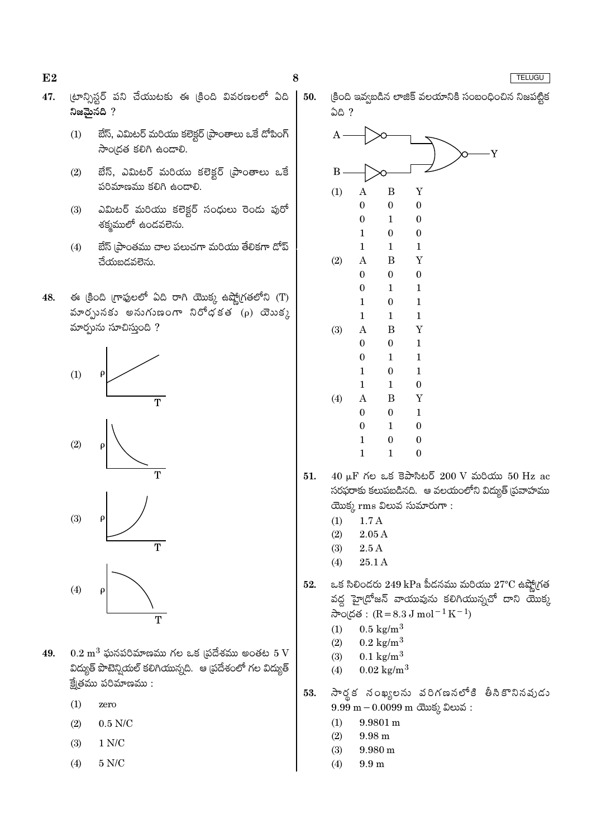8

- (టాన్నిస్టర్ పని చేయుటకు ఈ క్రింది వివరణలలో ఏది 47. నిజమైనది ?
	- బేస్, ఎమిటర్ మరియు కలెక్టర్ (పాంతాలు ఒకే డోపింగ్  $(1)$ సాంద్రత కలిగి ఉండాలి.
	- $(2)$ బేస్, ఎమిటర్ మరియు కలెక్టర్ (పాంతాలు ఒకే పరిమాణము కలిగి ఉండాలి.
	- ఎమిటర్ మరియు కలెక్టర్ సంధులు రెండు పురో  $(3)$ శక్మములో ఉండవలెను.
	- బేస్ (పాంతము చాల పలుచగా మరియు తేలికగా డోప్  $(4)$ చేయబడవలెను.
- ఈ ළීංది గ్రాఫులలో ఏది రాగి యొక్క ఉష్ణోగ్రతలోని (T) 48. మారృునకు అనుగుణంగా నిరోధకత  $(\rho)$  యెుకు మార్చును సూచిస్తుంది ?







- $0.2~\mathrm{m}^3$  ఘనపరిమాణము గల ఒక (పదేశము అంతట  $5~\mathrm{V}$ 49. విద్యుత్ పొటెన్నియల్ కలిగియున్నది. ఆ ప్రదేశంలో గల విద్యుత్  $\frac{2}{5}$ (తము పరిమాణము:
	- $(1)$ zero
	- $(2)$  $0.5$  N/C
	- $1 N/C$  $(3)$
	- 5 N/C  $(4)$



- $40 \mu$ F గల ఒక కెపాసిటర్  $200 \text{ V}$  మరియు 50 Hz ac  $51.$ సరఫరాకు కలుపబడినది. ఆ వలయంలోని విద్యుత్ (పవాహము యొక్క rms విలువ సుమారుగా :
	- $(1)$  $1.7A$
	- $(2)$  $2.05A$
	- $(3)$  $2.5A$
	- 25.1 A  $(4)$
- ఒక సిలిందరు  $249$  kPa పీదనము మరియు  $27^{\circ}\text{C}$  ఉష్ణో(గత 52. వద్ద హై(డోజన్ వాయువును కలిగియున్నచో దాని యొక్క సాంద్రత :  $(R = 8.3 J \text{ mol}^{-1} K^{-1})$ 
	- $0.5 \text{ kg/m}^3$  $(1)$
	- $(2)$  $0.2 \text{ kg/m}^3$
	- $(3)$  $0.1 \text{ kg/m}^3$
	- $0.02 \text{ kg/m}^3$  $(4)$
- సార్థక నంఖ్యలను వరిగణనలోకి తీసికొనినవుడు 53.  $9.99 \text{ m} - 0.0099 \text{ m}$  ctos 2 කාර් :
	- $(1)$  $9.9801 \text{ m}$
	- $(2)$ 9.98 m
	- $(3)$  $9.980 \text{ m}$
	- $(4)$  $9.9<sub>m</sub>$

#### TELUGU

 $E2$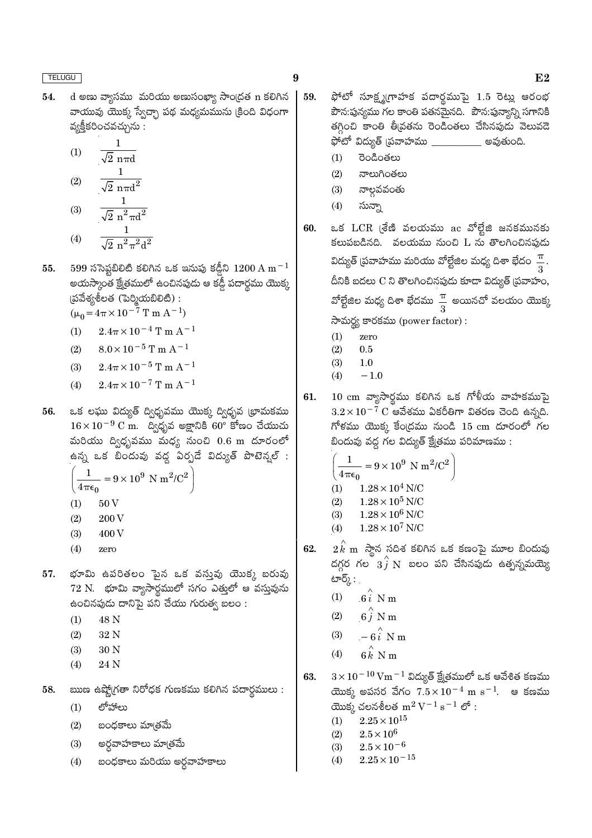54. d అణు వ్యాసము మరియు అణుసంఖ్యా సాంద్రత n కలిగిన వాయువు యొక్క స్వేచ్ఛా పథ మధ్యమమును క్రింది విధంగా వ్యక్తీకరించవచ్చును :

$$
(1) \qquad \frac{1}{\sqrt{2} \, n\pi d} \\ 1
$$

(2) 
$$
\sqrt{2} \text{ n} \pi d^2
$$
  
(3)  $\frac{1}{\sqrt{2} \text{ n}^2 \pi d^2}$ 

(4) 
$$
\frac{1}{\sqrt{2} \pi^2 \pi^2 d^2}
$$

599 ససెప్టబీలిటీ కలిగిన ఒక ఇనుపు కడ్డీని  $1200\,\mathrm{A\,m^{-1}}$ 55. .<br>అయస్కాంత క్షేతములో ఉంచినపుడు ఆ కడ్డీ పదార్థము యొక్క  $\S$ బ్ వేశ్యశీలత (పెర్మియబిలిటి):

 $(\mu_0 = 4\pi \times 10^{-7} \text{ T m A}^{-1})$ 

 $2.4\pi\times10^{-4}$  T m  $\mathrm{A}^{-1}$  $(1)$ 

(2) 
$$
8.0 \times 10^{-5}
$$
 T m A<sup>-1</sup>

(3) 
$$
2.4\pi \times 10^{-5}
$$
 T m A<sup>-1</sup>

(4) 
$$
2.4\pi \times 10^{-7}
$$
 T m A<sup>-1</sup>

ఒక లఘు విద్యుత్ ద్విధృవము యొక్క ద్విధృవ భామకము 56.  $16 \times 10^{-9}$  C m. ద్విధృవ అక్షానికి 60° కోణం చేయుచు మరియు ద్విధృవము మధ్య నుంచి  $0.6$  m దూరంలో ఉన్న ఒక బిందువు వద్ద ఏర్పడే విద్యుత్ పొటెన్నల్ :  $\frac{1}{4\pi\epsilon}$  = 9 × 10<sup>9</sup> N m<sup>2</sup>/C<sup>2</sup>

$$
\left( \mathbf{a}_{\mathbf{u}}\mathbf{a}_{\mathbf{v}}\right)
$$

- $(1)$ 50 V
- $(2)$ 200 V
- 400 V  $(3)$
- $(4)$ zero
- భూమి ఉపరితలం పైన ఒక వస్తువు యొక్క బరువు 57.  $72$  N.  $\,$ భూమి వ్యాసార్థములో సగం $\,$  ఎత్తులో ఆ వస్తువును ఉంచినపుడు దానిపై పని చేయు గురుత్వ బలం :
	- 48 N  $(1)$
	- $(2)$ 32 N
	- $(3)$ 30 N
	- $(4)$ 24 N
- ఋణ ఉష్ణో(గతా నిరోధక గుణకము కలిగిన పదార్థములు : 58.
	- లోహాలు  $(1)$
	- $(2)$ బంధకాలు మాౖతమే
	- $(3)$ అర్ధవాహకాలు మాత్రమే
	- బంధకాలు మరియు అర్ధవాహకాలు  $(4)$

ఫోటో సూక్ష్మగ్రాహక పదార్థముపై 1.5 రెట్లు ఆరంభ 59. పౌన:పున్యము గల కాంతి పతనమైనది. పౌన:పున్యాన్ని సగానికి .<br>తగ్గించి కాంతి తీవ్రతను రెండింతలు చేసినపుడు వెలువడె ఫోటో విద్యుత్ (పవాహము \_\_\_\_\_\_\_\_\_\_\_\_ అవుతుంది.

- రెండింతలు  $(1)$
- $(2)$ నాలుగింతలు
- $(3)$ నాల్గవవంతు
- సున్నా  $(4)$
- ఒక LCR (శేణి వలయము ac వోల్లేజి జనకమునకు 60. కలుపబడినది. వలయము నుంచి  $L$  ను తొలగించినపుడు విద్యుత్ (పవాహము మరియు వోల్టేజిల మధ్య దిశా భేదం $\,\,\frac{\pi}{3}.$ దీనికి బదలు C ని తొలగించినపుడు కూడా విద్యుత్ (పవాహం, వోల్టేజిల మధ్య దిశా భేదము $\frac{\pi}{3}$  అయినచో వలయం యొక్క సామర్థ్య కారకము (power factor):
	- $(1)$ zero
	- $(2)$  $0.5$
	- $(3)$  $1.0$  $(4)$  $-1.0$
- $10 \text{ cm}$  వ్యాసార్ధము కలిగిన ఒక గోళీయ వాహకముపై 61.  $3.2\times10^{-7}~\mathrm{C}$  ఆవేశము ఏకరీతిగా వితరణ చెంది ఉన్నది.  $\tilde{\pi}$ కము యొక్క కేంద్రము నుండి 15  $\rm cm$  దూరంలో గల బిందువు వద్ద గల విద్యుత్ క్షేత్రము పరిమాణము :

$$
\left(\frac{1}{4\pi\epsilon_0} = 9 \times 10^9 \text{ N m}^2/\text{C}^2\right)
$$
  
(1) 1.28 × 10<sup>4</sup> N/C  
(2) 1.28 × 10<sup>5</sup> N/C  
(3) 1.28 × 10<sup>6</sup> N/C  
(4) 1.28 × 10<sup>7</sup> N/C

- 62.  $2\,\stackrel{\scriptstyle\frown}{k}$  m  $\,$ స్తాన సదిశ కలిగిన ఒక కణంపై మూల బిందువు దగ్గర గల  $3\hat{j}$  N బలం పని చేసినపుడు ఉత్పన్నమయ్యే టార్క్ :
	- $(1)$  $6i$  N m
	- $6\hat{i}$  N m  $(2)$
	- $-6\hat{i}$  N m  $(3)$
	- $6k$  N m  $(4)$
- $3 \times 10^{-10}$  Vm $^{-1}$  విద్యుత్ క్షేత్రములో ఒక ఆవేశిత కణము 63. యొక్క అపసర వేగం  $7.5 \times 10^{-4}$  m  $\rm s^{-1}$ . ఆ కణము యొక్క చలనశీలత  $m^2 V^{-1} s^{-1}$  లో:
	- $2.25 \times 10^{15}$  $(1)$
	- $(2)$  $2.5 \times 10^{6}$
	- $2.5 \times 10^{-6}$  $(3)$
	- $2.25 \times 10^{-15}$  $(4)$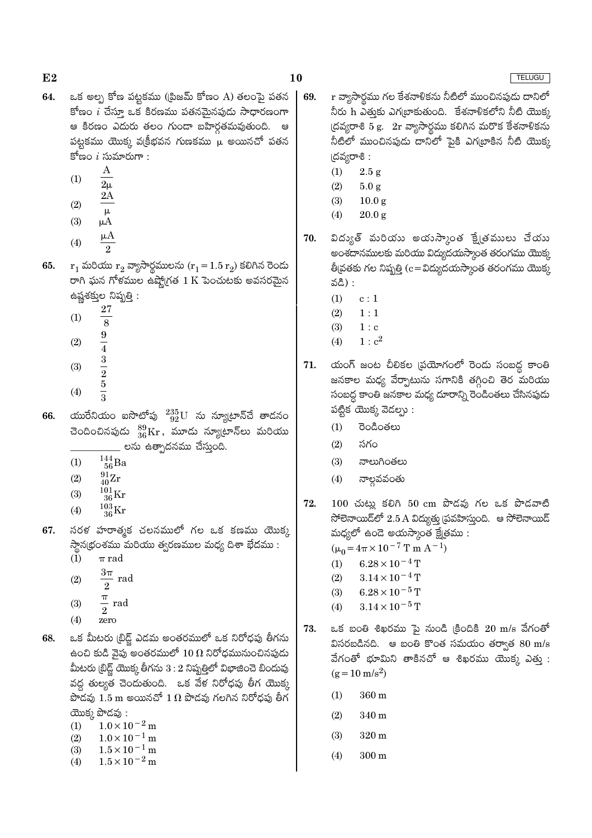- ఒక అల్ప కోణ పట్టకము ((పిజమ్ కోణం A) తలంపై పతన 64. కోణం  $i$  చేస్తూ ఒక కిరణము పతనమైనపుడు సాధారణంగా ఆ కిరణం ఎదురు తలం గుండా బహిర్గతమవుతుంది. ఆ పట్టకము యొక్క వ(క్రీభవన గుణకము  $\mu$  అయినచో పతన కోణం  $i$  సుమారుగా :
	- $\boldsymbol{A}$  $(1)$
	- $2<sub>u</sub>$  $2A$
	- $(2)$  $\mu$
	- $(3)$  $\mu A$
	- $\mu A$  $(4)$  $\overline{2}$
- $r_1$  మరియు  $r_2$  వ్యాసార్ధములను  $(r_1 = 1.5 r_2)$  కలిగిన రెండు 65. రాగి ఘన గోళముల ఉష్మోగత  $1 \text{ K}$  పెంచుటకు అవసరమైన ఉష్ణశక్తుల నిష్పత్తి:
	- 27  $(1)$
	- $\overline{8}$
	- $\frac{9}{4}$   $\frac{3}{2}$  $(2)$
	- $(3)$
	- $\overline{5}$
	- $(4)$
- యురేనియం ఐసొటోపు  $^{235}_{92}{\rm U}$  ను న్యూటాన్చే తాడనం 66. చెందించినపుడు  $^{89}_{36}\mathrm{Kr}$ , మూడు న్యూటాన్లు మరియు \_ లను ఉత్పాదనము చేస్తుంది.
	- $\frac{144}{56}$ Ba  $(1)$
	- $\frac{91}{40}Zr$  $(2)$
	- $^{101}_{36}$ Kr  $(3)$
	- $\frac{103}{36}\mathrm{Kr}$  $(4)$
- సరళ హరాత్మక చలనములో గల ఒక కణము యొక్క 67. స్థాన(భంశము మరియు త్వరణముల మధ్య దిశా భేదము :
	- $(1)$  $\pi$  rad
	- $\frac{3\pi}{2}$  rad  $(2)$  $\overline{2}$
	- $\frac{\pi}{\pi}$  rad  $(3)$
	- $\overline{2}$  $(4)$ zero
- 68. ఒక మీటరు (బిడ్జ్ ఎడమ అంతరములో ఒక నిరోధపు తీగను ఉంచి కుడి వైపు అంతరములో  $10\,\Omega$  నిరోధమునుంచినపుడు మీటరు (బిడ్జ్ యొక్క తీగను  $3:2$  నిష్పత్తిలో విభాజించె బిందువు వద్ద తుల్యత చెందుతుంది. ఒక వేళ నిరోధపు తీగ యొక్క పొడవు  $1.5$  m అయినచో  $1 \Omega$  పొడవు గలగిన నిరోధపు తీగ యొక్క పొడవు:
	- $1.0 \times 10^{-2}$  m  $(1)$
	- $1.0 \times 10^{-1}$  m  $(2)$
	- $1.5 \times 10^{-1}$  m  $(3)$
	- $1.5 \times 10^{-2}$  m  $(4)$
- r వ్యాసార్థము గల కేశనాళికను నీటిలో ముంచినపుడు దానిలో 69. నీరు h ఎత్తుకు ఎగట్రాకుతుంది. కేశనాళికలోని నీటి యొక్క  $\lfloor \text{Gasyve} \otimes 5 \rfloor$  g.  $2r$  వ్యాసార్థము కలిగిన మరొక కేశనాళికను నీటిలో ముంచినపుడు దానిలో పైకి ఎగఁటాకిన నీటి యొక్క (దవ్యరాశి:
	- $(1)$  $2.5 g$

10

- $(2)$  $5.0 g$
- $(3)$  $10.0<sub>g</sub>$
- $(4)$  $20.0 g$
- విద్యుత్ మరియు అయుస్కాంత క్షేత్రములు చేయు 70. అంశదానములకు మరియు విద్యుదయస్కాంత తరంగము యొక్క తీ|వతకు గల నిష్పత్తి (c=విద్యుదయస్కాంత తరంగము యొక్క వడి) :
	- $(1)$  $c:1$
	- $(2)$  $1:1$
	- $1:c$  $(3)$
	- $1 : c<sup>2</sup>$  $(4)$
- యంగ్ జంట చీలికల (పయోగంలో రెండు సంబద్ధ కాంతి 71. జనకాల మధ్య వేర్పాటును సగానికి తగ్గించి తెర మరియు సంబద్ద కాంతి జనకాల మధ్య దూరాన్ని రెండింతలు చేసినపుడు పట్టిక యొక్క వెదల్పు:
	- రెండింతలు  $(1)$
	- $(2)$ సగం
	- $(3)$ నాలుగింతలు
	- నాల్గవవంతు  $(4)$
- 72.  $100$  చుట్లు కలిగి  $50$  cm పొదవు గల ఒక పొడవాటి సోలెనాయిడ్లలో  $2.5\,\mathrm{A}$  విద్యుత్తు (పవహిస్తుంది. ఆ సోలెనాయిడ్ మధ్యలో ఉండె అయస్కాంత క్షేత్రము :

 $(\mu_0 = 4\pi \times 10^{-7} \text{ T m A}^{-1})$ 

- $(1)$  $6.28 \times 10^{-4}$  T
- $(2)$  $3.14 \times 10^{-4}$  T
- $(3)$  $6.28 \times 10^{-5}$  T  $3.14 \times 10^{-5}$  T
- $(4)$
- 73. ఒక బంతి శిఖరము పై నుండి క్రిందికి 20 m/s వేగంతో విసరబడినది. ఆ బంతి కొంత సమయం తర్వాత  $80 \text{ m/s}$ వేగంతో భూమిని తాకినచో ఆ శిఖరము యొక్క ఎతు :  $(g = 10 \text{ m/s}^2)$ 
	- $(1)$ 360 m
	- $(2)$ 340 m
	- $(3)$ 320 m
	- $(4)$  $300 \text{ m}$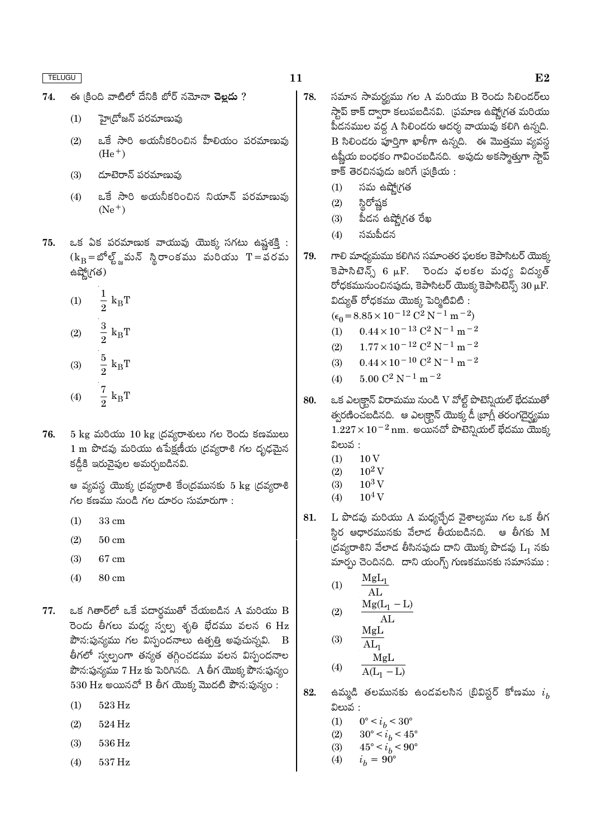- ఈ కింది వాటిలో దేనికి బోర్ నమోనా చెల్లదు ? 74.
	- హై(దోజన్ పరమాణువు  $(1)$
	- ఒకే సారి అయనీకరించిన హీలియం పరమాణువు  $(2)$  $(He<sup>+</sup>)$
	- దూటెరాన్ పరమాణువు  $(3)$
	- ఒకే సారి అయనీకరించిన నియాన్ పరమాణువు  $(4)$  $(Ne^+)$
- ఒక ఏక పరమాణుక వాయువు యొక్క సగటు ఉష్ణశక్తి : 75.  $(k_B = \mathcal{S}^5 \mathcal{S}_{\mathbf{a}})$ మన్ స్థిరాంకము మరియు  $T = \mathcal{S}$ రమ ఉష్ణో(గత)
	- $\frac{1}{2}$   $\mathbf{k}_\textrm{B}\mathbf{T}$  $(1)$  $\frac{3}{2}$   ${\rm k_BT}$  $(2)$  $\frac{5}{2}$   ${\rm k_BT}$  $(3)$
	- $rac{7}{2}$  k<sub>B</sub>T  $(4)$
- $5 \text{ kg}$  మరియు  $10 \text{ kg}$  (దవ్యరాశులు గల రెండు కణములు 76. 1 m పొడవు మరియు ఉపేక్షణీయ (దవ్యరాశి గల దృఢమైన కడ్డీకి ఇరువైపుల అమర్చబడినవి.

ఆ వ్యవస్థ యొక్క (దవ్యరాశి కేం(దమునకు 5 kg (దవ్యరాశి గల కణము నుండి గల దూరం సుమారుగా:

- $(1)$ 33 cm
- $(2)$  $50 \text{ cm}$
- $(3)$ 67 cm
- $(4)$ 80 cm
- ఒక గితార్లో ఒకే పదార్థముతో చేయబడిన A మరియు B 77. రెండు తీగలు మధ్య స్వల్ప శృతి భేదము వలన 6 Hz పౌన:పున్యము గల విస్పందనాలు ఉత్పత్తి అవుచున్నవి. B తీగలో స్వల్పంగా తన్యత తగ్గించడము వలన విస్పందనాల పౌన:పున్యము 7 Hz కు పెరిగినది. A తీగ యొక్క పౌన:పున్యం  $530$  Hz అయినచో B తీగ యొక్క మొదటి పౌన:పున్యం:
	- $523\,\mathrm{Hz}$  $(1)$
	- $(2)$  $524\,\mathrm{Hz}$
	- $(3)$ 536 Hz
	- 537 Hz  $(4)$
- సమాన సామర్థ్యము గల A మరియు B రెండు సిలిండర్**లు** 78. స్తాప్ కాక్ ద్వారా కలుపబడినవి. (పమాణ ఉష్మోగత మరియు పీడనముల వద్ద A సిలిండరు ఆదర్శ వాయువు కలిగి ఉన్నది.  $\, {\bf B} \,$  సిలిండరు పూర్తిగా ఖాళీగా ఉన్నది. ఈ మొత్తము వ్యవస్థ ఉష్ణీయ బంధకం గావించబడినది. అపుడు అకస్మాత్తుగా స్తాప్ కాక్ తెరచినపుడు జరిగే (ప్రక్రియ :
	- $(1)$ సమ ఉష్మో(గత
	- స్థిరోష్ణక  $(2)$
	- పీదన ఉష్మో(గత రేఖ  $(3)$
	- సమపీదన  $(4)$
- గాలి మాధ్యమము కలిగిన సమాంతర ఫలకల కెపాసిటర్ యొక్క 79. కెపాసిటెన్స్ 6  $\mu$ F. రెండు వలకల మధ్య విద్యుత్ రోధకమునుంచినపుడు, కెపాసిటర్ యొక్క కెపాసిటెన్స్  $30\,\rm \mu F.$ విద్యుత్ రోధకము యొక్క పెర్మిటివిటి :
	- $(\epsilon_0 = 8.85 \times 10^{-12} \text{ C}^2 \text{ N}^{-1} \text{ m}^{-2})$
	- $0.44 \times 10^{-13}$  C<sup>2</sup> N<sup>-1</sup> m<sup>-2</sup>  $(1)$
	- $1.77 \times 10^{-12}$  C<sup>2</sup> N<sup>-1</sup> m<sup>-2</sup>  $(2)$
	- $0.44 \times 10^{-10}$  C<sup>2</sup> N<sup>-1</sup> m<sup>-2</sup>  $(3)$
	- $5.00 C^2 N^{-1} m^{-2}$  $(4)$
- ఒక ఎలక్ట్రాన్ విరామము నుండి V వోల్ట్ పొటెన్నియల్ భేదముతో 80. త్వరణించబడినది. ఆ ఎలక్ట్రాన్ యొక్క డీ టాగ్లీ తరంగదైర్హ్యము  $1.227 \times 10^{-2}$ nm. అయినచో పొటెన్నియల్ భేదము యొక్క విలువ :
	- $(1)$ 10<sub>V</sub>
	- $10^2\,\rm{V}$  $(2)$
	- $10^3\,\mathrm{V}$  $(3)$
	- $10^4$  V  $(4)$
- L పొడవు మరియు A మధ్యచ్చేద వైశాల్యము గల ఒక తీగ 81. స్థిర ఆధారమునకు వేలాడ తీయబడినది. ఆ తీగకు  $\overline{M}$ (దవ్యరాశిని వేలాడ తీసినపుడు దాని యొక్క పొడవు  $\mathrm{L}_1$  నకు మార్చు చెందినది. దాని యంగ్స్ గుణకమునకు సమాసము :
	- $MgL_1$  $(1)$  $AL$  $Mg(L_1 - L)$  $(2)$  $AL$
	- MgL  $(3)$  $AL_1$ MgL
	- $(4)$  $A(L_1 - L)$
- 82. ఉమ్మడి తలమునకు ఉండవలసిన (బివిస్టర్ కోణము  $i_h$ విలువ :
	- $(1)$  $0^{\circ} < i_b < 30^{\circ}$
	- $30^{\circ} < i_b < 45^{\circ}$  $(2)$
	- $45^{\circ} < i_h < 90^{\circ}$  $(3)$
	- $(4)$  $i_h = 90^{\circ}$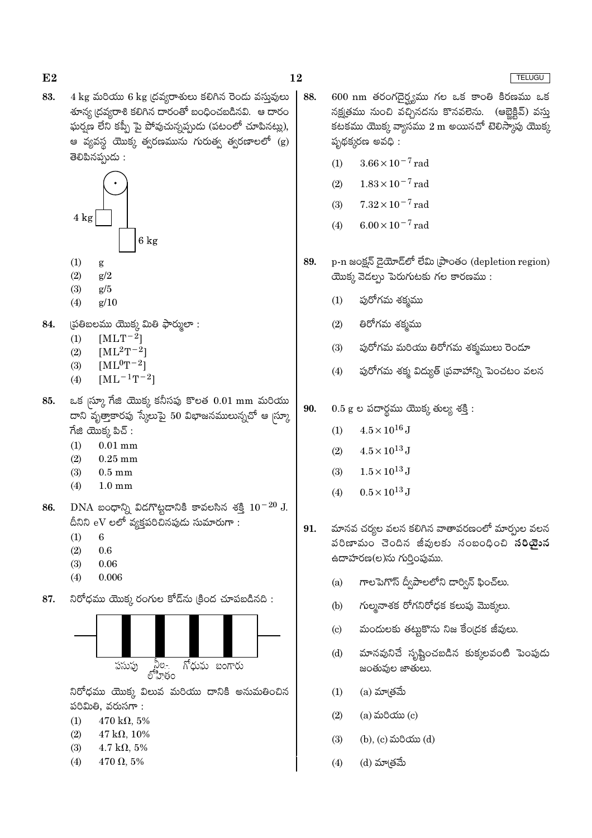83.  $4 \text{ kg}$  మరియు  $6 \text{ kg}$  (దవ్యరాశులు కలిగిన రెండు వస్తువులు శూన్య (దవ్యరాశి కలిగిన దారంతో బంధించబడినవి. ఆ దారం ఘర్షణ లేని కప్పీ పై పోవుచున్నప్పుడు (పటంలో చూపినట్లు), ఆ వ్యవస్థ యొక్క త్వరణమును గురుత్వ త్వరణాలలో (g) తెలిపినప్పుడు:



- $(1)$ g
- $(2)$  $g/2$
- $(3)$  $g/5$
- $(4)$  $g/10$
- 84. (పతిబలము యొక్క మితి ఫార్ములా:
	- $[MLT^{-2}]$  $(1)$
	- $[ML^2T^{-2}]$  $(2)$
	- $[ML^0T^{-2}]$  $(3)$
	- $[ML^{-1}T^{-2}]$  $(4)$
- ఒక  $\ket{\mathbf{\hat{w}}\mathbf{\hat{y}}}$  గేజి యొక్క కనీసపు కొలత  $0.01 \text{ mm}$  మరియు 85. దాని వృత్తాకారపు స్కేలుపై 50 విభాజనములున్నచో ఆ మ్రా  $\vec{a}$ జి యొక్క పిచ్ :
	- $(1)$  $0.01$  mm
	- $(2)$  $0.25$  mm
	- $(3)$  $0.5 \text{ mm}$
	- $(4)$  $1.0 \text{ mm}$
- DNA బంధాన్ని విడగొట్టడానికి కావలసిన శక్తి  $10^{-20}$  J. 86. దీనిని eV లలో వ్యక్తపరిచినపుడు సుమారుగా :
	- $(1)$ 6
	- $(2)$  $0.6$
	- $(3)$ 0.06
	- $(4)$ 0.006
- నిరోధము యొక్క రంగుల కోడ్ ను క్రింద చూపబడినది : 87.



నిరోధము యొక్క విలువ మరియు దానికి అనుమతించిన పరిమితి. వరుసగా:

- $470 \text{ k}\Omega, 5\%$  $(1)$
- $(2)$  $47 \text{ k}\Omega, 10\%$
- $(3)$ 4.7 k $\Omega$ , 5%
- $470 \Omega, 5\%$  $(4)$
- $600 \text{ nm}$  తరంగదైర్వము గల ఒక కాంతి కిరణము ఒక 88. నక్షత్రము నుంచి వచ్చినదను కొనవలెను. (ఆబ్హెక్టివ్) వస్తు కటకము యొక్క వ్యాసము  $2 \text{ m}$  అయినచో టెలిస్మాపు యొక్క పృథక్కరణ అవధి:
	- $3.66 \times 10^{-7}$  rad  $(1)$
	- $1.83 \times 10^{-7}$  rad  $(2)$
	- $7.32 \times 10^{-7}$  rad  $(3)$
	- $6.00 \times 10^{-7}$  rad  $(4)$
- 89. p-n జంక్షన్ డైయోడ్లో లేమి (పాంతం (depletion region) యొక్క వెడల్సు పెరుగుటకు గల కారణము:
	- పురోగమ శక్మము  $(1)$
	- $(2)$ తిరోగమ శక్మము
	- $(3)$ ఫురోగమ మరియు తిరోగమ శక్మములు రెండూ
	- పురోగమ శక్మ విద్యుత్ (పవాహాన్ని పెంచటం వలన  $(4)$
- 90.  $0.5$  g ల పదార్థము యొక్క తుల్య శక్తి:
	- $4.5 \times 10^{16}$  J  $(1)$
	- $4.5\times10^{13}\,\mathrm{J}$  $(2)$
	- $1.5\times10^{13}\,\mathrm{J}$  $(3)$
	- $(4)$  $0.5 \times 10^{13}$  J
- మానవ చర్యల వలన కలిగిన వాతావరణంలో మార్చుల వలన 91. పరిణామం చెందిన జీవులకు సంబంధించి సరియైన ఉదాహరణ(ల)ను గుర్తింపుము.
	- గాలపెగొస్ ద్వీపాలలోని డార్విన్ ఫించ్లు.  $(a)$
	- గుల్మనాశక రోగనిరోధక కలుఫు మొక్కలు.  $(b)$
	- మందులకు తట్టుకొను నిజ కేంద్రక జీవులు.  $\left( \text{c} \right)$
	- మానవునిచే సృష్టించబడిన కుక్కలవంటి పెంపుడు  $(d)$ జంతువుల జాతులు.
	- (a) మా\తమే  $(1)$
	- $(a)$  మరియు $(c)$  $(2)$
	- $(3)$ (b), (c) మరియు (d)
	- (d) మా(తమే  $(4)$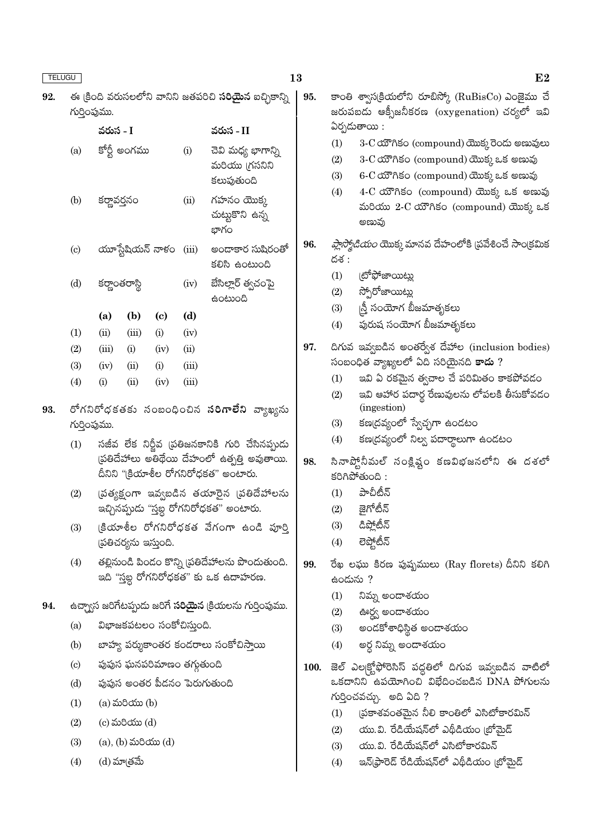| <b>TELUGU</b> |                             |                                                |                              |                             |       |                                                                                       | 13                                            | E2                                                                                                                                            |  |
|---------------|-----------------------------|------------------------------------------------|------------------------------|-----------------------------|-------|---------------------------------------------------------------------------------------|-----------------------------------------------|-----------------------------------------------------------------------------------------------------------------------------------------------|--|
| 92.           | గుర్తింపుము.                |                                                |                              |                             |       | ఈ క్రింది వరుసలలోని వానిని జతపరిచి <b>సరియైన</b> ఐచ్చికాన్ని                          | 95.                                           | కాంతి శ్వాస(కియలోని రూబిస్కో (RuBisCo) ఎంజైము చే<br>జరుపబడు ఆక్సీజనీకరణ (oxygenation) చర్యలో ఇవి                                              |  |
|               |                             | వరుస - I                                       |                              |                             |       | వరుస - II                                                                             |                                               | ఏర్పడుతాయి :                                                                                                                                  |  |
|               | (a)                         | కోర్టీ అంగము<br>(i)                            |                              |                             |       | చెవి మధ్య భాగాన్ని<br>మరియు (గసనిని<br>కలుపుతుంది                                     |                                               | (1)<br>3-C యౌగికం (compound) యొక్కరెండు అణువులు<br>3-C యౌగికం (compound) యొక్క ఒక అణువు<br>(2)<br>6-C యౌగికం (compound) యొక్క ఒక అణువు<br>(3) |  |
|               | (b)                         | కర్ణావర్తనం                                    | (ii)                         |                             |       | గహనం యొక్క<br>చుట్టుకొని ఉన్న<br>భాగం                                                 |                                               | 4-C యౌగికం (compound) యొక్క ఒక అణువు<br>(4)<br>మరియు 2-C యౌగికం (compound) యొక్క ఒక<br>అణువు                                                  |  |
|               | $\left( \mathrm{c}\right)$  |                                                | యూస్టేషియన్ నాళం (iii)       |                             |       | అందాకార సుషిరంతో<br>కలిసి ఉంటుంది                                                     | 96.                                           | <i>ప్లాస్మోడియం</i> యొక్క మానవ దేహంలోకి (పవేశించే సాంక్రమిక<br>దశ :                                                                           |  |
|               | (d)                         | కర్ణాంతరాస్థి                                  |                              |                             | (iv)  | బేసిల్లార్ త్వచంపై<br>ఉంటుంది                                                         |                                               | (టోఫోజాయిట్లు<br>(1)<br>స్పోరోజాయిట్లు<br>(2)                                                                                                 |  |
|               |                             | (a)                                            | (b)                          | $\left( \mathbf{c} \right)$ | (d)   |                                                                                       |                                               | న్తీ సంయోగ బీజమాతృకలు<br>(3)<br>పురుష సంయోగ బీజమాతృకలు                                                                                        |  |
|               | (1)                         | (ii)                                           | (iii)                        | (i)                         | (iv)  |                                                                                       |                                               | (4)                                                                                                                                           |  |
|               | (2)                         | (iii)                                          | (i)                          | (iv)                        | (ii)  |                                                                                       | 97.                                           | దిగువ ఇవ్వబడిన అంతర్వేశ దేహాల (inclusion bodies)<br>సంబంధిత వ్యాఖ్యలలో ఏది సరియైనది <mark>కాదు</mark> ?                                       |  |
|               | (3)                         | (iv)                                           | (ii)                         | (i)                         | (iii) |                                                                                       |                                               | ఇవి ఏ రకమైన త్వచాల చే పరిమితం కాకపోవడం<br>(1)                                                                                                 |  |
|               | (4)                         | (i)                                            | (ii)                         | (iv)                        | (iii) |                                                                                       |                                               | ఇవి ఆహార పదార్థ రేణువులను లోపలకి తీసుకోవడం<br>(2)                                                                                             |  |
| 93.           |                             |                                                |                              |                             |       | రోగనిరోధకతకు సంబంధించిన <b>సరిగాలేని</b> వ్యాఖ్యను                                    |                                               | (ingestion)                                                                                                                                   |  |
|               | గుర్తింపుము.                |                                                |                              |                             |       |                                                                                       |                                               | కణ(దవ్యంలో స్వేచ్ఛగా ఉండటం<br>(3)                                                                                                             |  |
|               | (1)                         |                                                |                              |                             |       | సజీవ లేక నిర్ణీవ (పతిజనకానికి గురి చేసినప్పుడు                                        |                                               | కణ(దవ్యంలో నిల్వ పదార్థాలుగా ఉండటం<br>(4)                                                                                                     |  |
|               |                             |                                                |                              |                             |       | స్రతిదేహాలు అతిథేయి దేహంలో ఉత్పత్తి అవుతాయి.<br>దీనిని "క్రియాశీల రోగనిరోధకత" అంటారు. | 98.                                           | సినాప్టోనీమల్ సంక్లిష్టం కణవిభజనలోని ఈ దశలో<br>కరిగిపోతుంది :                                                                                 |  |
|               | (2)                         |                                                |                              |                             |       | (పత్యక్షంగా ఇవ్వబడిన తయారైన (పతిదేహాలను                                               |                                               | పాచీటీన్<br>(1)                                                                                                                               |  |
|               |                             |                                                |                              |                             |       | ఇచ్చినప్పుడు "స్తబ్ధ రోగనిరోధకత" అంటారు.                                              |                                               | జైగోటీన్<br>(2)                                                                                                                               |  |
|               | (3)                         |                                                | (పతిచర్యను ఇస్తుంది.         |                             |       | క్రియాశీల రోగనిరోధకత వేగంగా ఉండి పూర్తి                                               |                                               | డిప్లోటీన్<br>(3)<br>లెప్టోటీన్<br>(4)                                                                                                        |  |
|               | (4)                         |                                                |                              |                             |       | తల్లినుండి పిండం కొన్ని (పతిదేహాలను పొందుతుంది.                                       | 99.                                           | రేఖ లఘు కిరణ పుష్పములు (Ray florets) దీనిని కలిగి                                                                                             |  |
|               |                             |                                                |                              |                             |       | ఇది "స్తబ్ద రోగనిరోధకత" కు ఒక ఉదాహరణ.                                                 |                                               | ఉందును ?                                                                                                                                      |  |
| 94.           |                             |                                                |                              |                             |       | ఉచ్చ్యాస జరిగేటప్పుడు జరిగే <b>సరియైన</b> క్రియలను గుర్తింపుము.                       |                                               | (1)<br>నిమ్న అందాశయం                                                                                                                          |  |
|               | (a)                         |                                                | విభాజకపటలం సంకోచిస్తుంది.    |                             |       |                                                                                       |                                               | (2)<br>ఊర్వ అందాశయం                                                                                                                           |  |
|               | (b)                         |                                                |                              |                             |       | బాహ్య పర్శుకాంతర కండరాలు సంకోచిస్తాయి                                                 |                                               | అందకోశాధిస్థిత అందాశయం<br>(3)<br>అర్ధ నిమ్న అండాశయం<br>(4)                                                                                    |  |
|               | $\left( \mathrm{c} \right)$ |                                                | పుపుస ఘనపరిమాణం తగ్గుతుంది   |                             |       |                                                                                       | 100.                                          | జెల్ ఎల(క్టోఫోరెసిస్ పద్ధతిలో దిగువ ఇవ్వబడిన వాటిలో                                                                                           |  |
|               | (d)                         |                                                | పుపుస అంతర పీడనం పెరుగుతుంది |                             |       |                                                                                       |                                               | ఒకదానిని ఉపయోగించి విభేదించబడిన DNA పోగులను                                                                                                   |  |
|               | (1)                         |                                                | $(a)$ మరియు $(b)$            |                             |       |                                                                                       |                                               | గుర్తించవచ్చు.  అది ఏది ?                                                                                                                     |  |
|               | (2)                         |                                                |                              |                             |       |                                                                                       | ప్రకాశవంతమైన నీలి కాంతిలో ఎసిటోకారమిన్<br>(1) |                                                                                                                                               |  |
|               |                             | $(c)$ మరియు $(d)$<br>$(a)$ , $(b)$ మరియు $(d)$ |                              |                             |       |                                                                                       | యు.వి. రేడియేషన్లో ఎథీడియం (బోమైడ్<br>(2)     |                                                                                                                                               |  |
|               | (3)                         |                                                |                              |                             |       |                                                                                       |                                               | యు.వి. రేడియేషన్లో ఎసిటోకారమిన్<br>(3)                                                                                                        |  |
|               | (4)                         |                                                | (d) మాత్రమే                  |                             |       |                                                                                       |                                               | ఇన్(ఫ్రారెడ్ రేడియేషన్లో ఎథీడియం (బోమైడ్<br>(4)                                                                                               |  |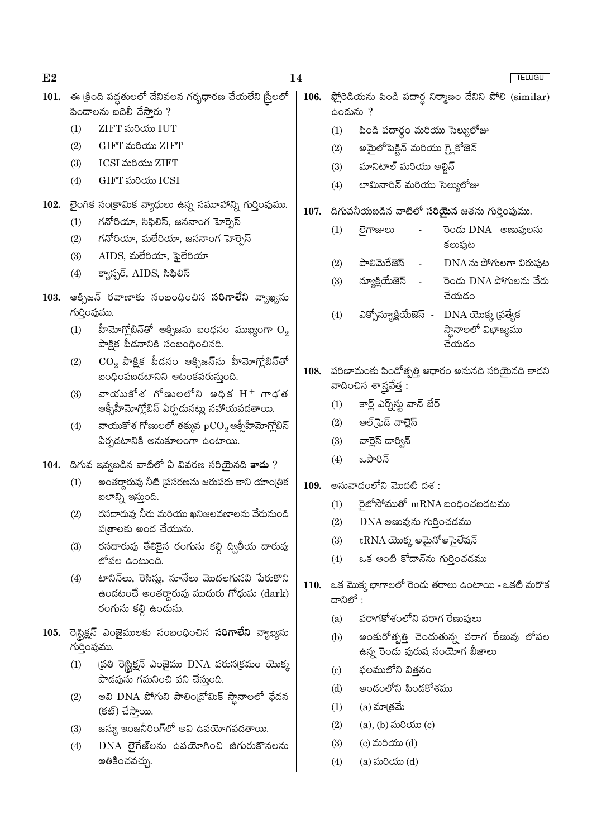14

- 101. ఈ క్రింది పద్ధతులలో దేనివలన గర్భధారణ చేయలేని స్త్రీలలో పిందాలను బదిలీ చేసారు ?
	- ZIFT మరియు IUT  $(1)$
	- $(2)$ GIFT మరియు ZIFT
	- ICSI మరియు ZIFT  $(3)$
	- GIFT మరియు ICSI  $(4)$
- 102. లైంగిక సంక్రామిక వ్యాధులు ఉన్న సమూహాన్ని గుర్తింపుము.
	- గనోరియా, సిఫిలిస్, జననాంగ హెర్బెస్  $(1)$
	- $(2)$ గనోరియా, మలేరియా, జననాంగ హెర్నెస్
	- $AIDS$ , మలేరియా, ఫైలేరియా  $(3)$
	- క్యాన్సర్, AIDS, సిఫిలిస్  $(4)$
- 103. ఆక్సిజన్ రవాణాకు సంబంధించిన సరిగాలేని వ్యాఖ్యను గుర్తింపుము.
	- హీమోగ్లోబిన్తో ఆక్సిజను బంధనం ముఖ్యంగా  $\mathrm{O}_2$  $(1)$ పాక్షిక పీడనానికి సంబంధించినది.
	- $(2)$  $\mathrm{CO}_2$  పాక్షిక పీడనం ఆక్సిజన్ను హీమోగ్లోబిన్తో బంధింపబడటానిని ఆటంకపరుస్తుంది.
	- వాయుకోశ గోణులలోని అదిక $H^+$  గాడత  $(3)$ ఆక్సీహీమోగ్హోబిన్ ఏర్పడునట్లు సహాయపడతాయి.
	- వాయుకోశ గోణులలో తక్కువ $pCO_2$ ఆక్సీహీమోగ్లోబిన్  $(4)$ ఏర్పడటానికి అనుకూలంగా ఉంటాయి.
- $104.$  దిగువ ఇవ్వబడిన వాటిలో ఏ వివరణ సరియైనది కాదు ?
	- అంతర్ధారువు నీటి (పసరణను జరుపదు కాని యాంత్రిక  $(1)$ బలాన్ని ఇస్తుంది.
	- $(2)$ రసదారువు నీరు మరియు ఖనిజలవణాలను వేరునుండి ప(తాలకు అంద చేయును.
	- రసదారువు తేలికైన రంగును కల్గి ద్వితీయ దారువు  $(3)$ లోపల ఉంటుంది.
	- టానిన్అు, రెసిన్లు, నూనేలు మొదలగునవి పేరుకొని  $(4)$ ఉండటంచే అంతర్గారువు ముదురు గోధుమ $\,\,\,$  (dark) రంగును కల్గి ఉందును.
- 105. రె|స్టిక్షన్ ఎంజైములకు సంబంధించిన సరిగాలేని వ్యాఖ్యను గుర్తింపుము.
	- (పతి రెగ్టిక్షన్ ఎంజైము DNA వరుస(కమం యొక్క  $(1)$ పొడవును గమనించి పని చేస్తుంది.
	- అవి DNA పోగుని పాలిం(డోమిక్ స్తానాలలో ఛేదన  $(2)$ (కట్) చేస్తాయి.
	- జన్యు ఇంజనీరింగ్లో అవి ఉపయోగపడతాయి.  $(3)$
	- $DNA$  లైగేజ్లను ఉపయోగించి జిగురుకొనలను  $(4)$ అతికించవచ్చు.
- 106. ప్లోరిడియను పిండి పదార్థ నిర్మాణం దేనిని పోలి (similar) ఉండును ?
	- $(1)$ పిండి పదార్థం మరియు సెల్యులోజు
	- అమైలోపెక్టిన్ మరియు గ్లైకోజెన్  $(2)$
	- మానిటాల్ మరియు అల్టిన్  $(3)$
	- లామినారిన్ మరియు సెల్యులోజు  $(4)$
- $107.$  దిగువనీయబడిన వాటిలో సరియైన జతను గుర్తింపుము.
	- రెండు DNA అణువులను  $(1)$ లైగాజులు కలుపుట
	- పాలిమెరేజెస్  $DNA \approx$  పోగులగా విరుపుట  $(2)$
	- న్యూక్లియేజెస్ రెండు DNA పోగులను వేరు  $(3)$ చేయడం
	- ఎక్సోన్యూక్షియేజెస్ -DNA యొక్క (పత్యేక  $(4)$ స్థానాలలో విభాజ్యము చేయడం
- 108. పరిణామంకు పిందోత్పత్తి ఆధారం అనునది సరియైనది కాదని వాదించిన శాగ్ర్టవేత్త :
	- కార్ల్ ఎర్న్స్ట్లు వాన్ బేర్  $(1)$
	- $(2)$ ఆల్[ఫెడ్ వాల్లెస్
	- చార్లెస్ దార్విన్  $(3)$
	- ఒపారిన్  $(4)$
- అనువాదంలోని మొదటి దశ : 109.
	- $\vec{p}$ හ්හි්කාණී m $\text{RNA}$  හංදිංచబడటము  $(1)$
	- $(2)$  $DNA$  అణువును గుర్తించడము
	- $\text{tRNA}$  యొక్క అమైనోఅసైలేషన్  $(3)$
	- $(4)$ ఒక ఆంటి కోడాన్ను గుర్తించడము
- 110. ఒక మొక్క భాగాలలో రెందు తరాలు ఉంటాయి ఒకటి మరొక ದಾನಿಲ್ $\cdot$ 
	- పరాగకోశంలోని పరాగ రేణువులు (a)
	- $(b)$ అంకురోత్పత్తి చెందుతున్న పరాగ రేణువు లోపల ఉన్న రెండు పురుష సంయోగ బీజాలు
	- ఫలములోని విత్తనం  $\left( \mathrm{c}\right)$
	- అండంలోని పిండకోశము  $(d)$
	- (a) మా@తమే  $(1)$
	- $(2)$  $(a)$ ,  $(b)$  మరియు $(c)$
	- $(3)$  $(c)$  మరియు $(d)$
	- $(4)$  $(a)$  మరియు $(d)$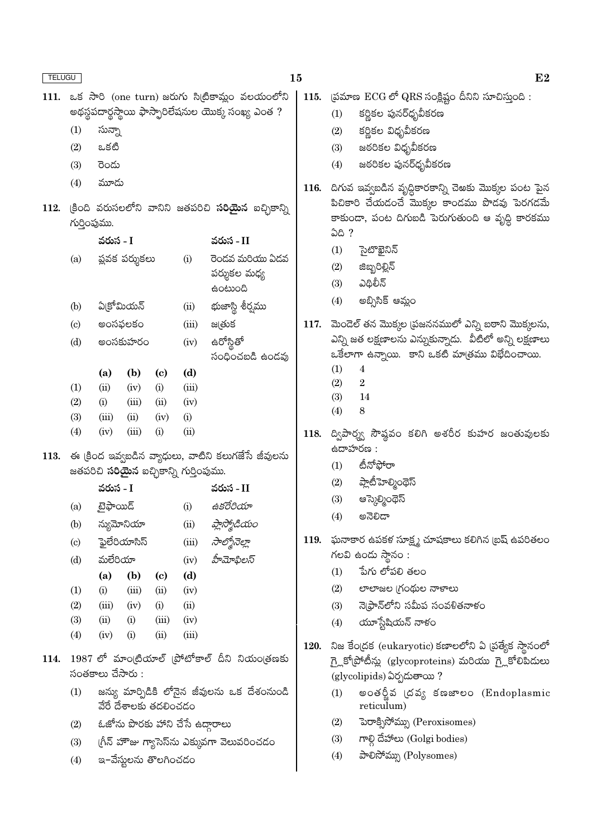| <b>TELUGU</b> |                            |                               |                                                |                             |       |                                                           | E2<br>15    |            |                                                                                                     |  |  |  |
|---------------|----------------------------|-------------------------------|------------------------------------------------|-----------------------------|-------|-----------------------------------------------------------|-------------|------------|-----------------------------------------------------------------------------------------------------|--|--|--|
|               |                            |                               |                                                |                             |       | 111. ఒక సారి (one turn) జరుగు సిట్రికామ్లం వలయంలోని       |             |            | 115. త్రమాణ $ECG$ లో QRS సంక్లిష్టం దీనిని సూచిస్తుంది:                                             |  |  |  |
|               |                            |                               |                                                |                             |       | అథస్థపదార్థస్థాయి ఫాస్ఫారిలేషనుల యొక్క సంఖ్య ఎంత ?        |             | (1)        | కర్ణికల పునర్ధృవీకరణ                                                                                |  |  |  |
|               | (1)                        | సున్నా                        |                                                |                             |       |                                                           |             | (2)        | కర్ణికల విధృవీకరణ                                                                                   |  |  |  |
|               | (2)                        | ఒకటి                          |                                                |                             |       |                                                           |             | (3)        | జరరికల విధృవీకరణ                                                                                    |  |  |  |
|               | (3)                        | రెండు                         |                                                |                             |       |                                                           |             | (4)        | జఠరికల పునర్ధృవీకరణ                                                                                 |  |  |  |
|               | (4)                        | మూదు                          |                                                |                             |       |                                                           | 116.        |            |                                                                                                     |  |  |  |
|               |                            |                               |                                                |                             |       |                                                           |             |            | దిగువ ఇవ్వబడిన వృద్ధికారకాన్ని చెఅకు మొక్కల పంట పైన<br>పిచికారి చేయడంచే మొక్కల కాండము పొడవు పెరగడమే |  |  |  |
| 112.          |                            |                               |                                                |                             |       | (కింది వరుసలలోని వానిని జతపరిచి <b>సరియైన</b> ఐచ్చికాన్ని |             |            | కాకుండా, పంట దిగుబడి పెరుగుతుంది ఆ వృద్ధి కారకము                                                    |  |  |  |
|               | గుర్తింపుము.               | వరుస - I                      |                                                |                             |       | వరుస - II                                                 |             | ఏది ?      |                                                                                                     |  |  |  |
|               |                            |                               |                                                |                             |       |                                                           |             | (1)        | సైటొఖైనిన్                                                                                          |  |  |  |
|               | (a)                        |                               | ప్లవక పర్శుకలు                                 |                             | (i)   | రెండవ మరియు ఏడవ<br>పర్శుకల మధ్య                           |             | (2)        | జిబ్బరిల్లిన్                                                                                       |  |  |  |
|               |                            |                               |                                                |                             |       | ఉంటుంది                                                   |             | (3)        | ఎథిలీన్                                                                                             |  |  |  |
|               | (b)                        |                               | ఏక్రోమియన్                                     |                             | (ii)  | భుజాస్థి శీర్షము                                          |             | (4)        | అబ్సిసిక్ ఆమ్లం                                                                                     |  |  |  |
|               | $\left( \mathrm{c}\right)$ |                               | అంసఫలకం                                        |                             | (iii) | జ@తుక                                                     | 117.        |            | మెండెల్ తన మొక్కల (పజననములో ఎన్ని బఠాని మొక్కలను,                                                   |  |  |  |
|               | (d)                        | ఉరోస్లితో<br>అంసకుహరం<br>(iv) |                                                |                             |       |                                                           |             |            | ఎన్ని జత లక్షణాలను ఎస్నుకున్నాడు.  వీటిలో అన్ని లక్షణాలు                                            |  |  |  |
|               |                            |                               |                                                |                             |       | సంధించబడి ఉండవు                                           |             |            | ఒకేలాగా ఉన్నాయి. కాని ఒకటి మాత్రము విభేదించాయి.                                                     |  |  |  |
|               |                            | (a)                           | (b)                                            | $\left( \mathbf{c} \right)$ | (d)   |                                                           |             | (1)        | 4                                                                                                   |  |  |  |
|               | (1)                        | (ii)                          | (iv)                                           | (i)                         | (iii) |                                                           |             | (2)        | $\sqrt{2}$                                                                                          |  |  |  |
|               | (2)                        | (i)                           | (iii)                                          | (ii)                        | (iv)  |                                                           |             | (3)<br>(4) | 14<br>8                                                                                             |  |  |  |
|               | (3)                        | (iii)                         | (ii)                                           | (iv)                        | (i)   |                                                           |             |            |                                                                                                     |  |  |  |
|               | (4)                        | (iv)                          | (iii)                                          | (i)                         | (ii)  |                                                           | 118.        |            | ద్విపార్శ్వ సౌష్ఠవం కలిగి అశరీర కుహర జంతువులకు                                                      |  |  |  |
|               |                            |                               |                                                |                             |       | $113.$ ఈ (కింద ఇవ్వబడిన వ్యాధులు, వాటిని కలుగజేసే జీవులను |             | ఉదాహరణ :   |                                                                                                     |  |  |  |
|               |                            |                               | జతపరిచి <b>సరియైన</b> ఐచ్చికాన్ని గుర్తింపుము. |                             |       |                                                           |             | (1)        | టీనోఫోరా                                                                                            |  |  |  |
|               |                            | వరుస - I                      |                                                |                             |       | వరుస - II                                                 |             | (2)        | ప్లాటీహెల్మింథెస్                                                                                   |  |  |  |
|               | (a)                        | బైఫాయిడ్                      |                                                |                             | (i)   | ఉకరేరియా                                                  |             | (3)        | ఆస్కెల్మింథెస్                                                                                      |  |  |  |
|               | (b)                        |                               | న్యుమోనియా                                     |                             | (ii)  | ప్లాస్మోడియం                                              |             | (4)        | అనెలిడా                                                                                             |  |  |  |
|               | $\left( \mathrm{c}\right)$ |                               | <u>్</u> హైలేరియాసిస్                          |                             | (iii) | సాల్మోనెల్లా                                              | 119.        |            | ఘనాకార ఉపకళ సూక్ష్మ చూషకాలు కలిగిన (బష్ ఉపరితలం                                                     |  |  |  |
|               | (d)                        | మలేరియా                       |                                                |                             | (iv)  | హీమోఫిలస్                                                 |             |            | గలవి ఉందు స్థానం :                                                                                  |  |  |  |
|               |                            | (a)                           | (b)                                            | $\left( \mathrm{c}\right)$  | (d)   |                                                           |             | (1)        | పేగు లోపలి తలం                                                                                      |  |  |  |
|               | (1)                        | (i)                           | (iii)                                          | (ii)                        | (iv)  |                                                           |             | (2)        | లాలాజల (గంథుల నాళాలు                                                                                |  |  |  |
|               | (2)                        | (iii)                         | (iv)                                           | (i)                         | (ii)  |                                                           |             | (3)        | నె(ఫ్రాన్లోని సమీప సంవళితనాళం                                                                       |  |  |  |
|               | (3)                        | (ii)                          | (i)                                            | (iii)                       | (iv)  |                                                           |             | (4)        | యూస్టేషియన్ నాళం                                                                                    |  |  |  |
|               | (4)                        | (iv)                          | (i)                                            | (ii)                        | (iii) |                                                           | <b>120.</b> |            | నిజ కేంద్రక (eukaryotic) కణాలలోని ఏ [పత్యేక స్థానంలో                                                |  |  |  |
| 114.          |                            |                               |                                                |                             |       | 1987 లో మాంట్రియాల్ (పోటోకాల్ దీని నియం(తణకు              |             |            | గై్లకోటోటీన్లు (glycoproteins) మరియు గ్లైకోలిపిదులు                                                 |  |  |  |
|               |                            | సంతకాలు చేసారు :              |                                                |                             |       |                                                           |             |            | (glycolipids) ఏర్పడుతాయి ?                                                                          |  |  |  |
|               | (1)                        |                               | వేరే దేశాలకు తదలించడం                          |                             |       | జస్యు మార్పిడికి లోనైన జీవులను ఒక దేశంనుండి               |             | (1)        | అంతర్జీవ (దవ్య కణజాలం (Endoplasmic<br>reticulum)                                                    |  |  |  |

- 
- ి పేరే దేశాలకు తదలించడం<br>(2) ఓజోను పొరకు హాని చేసే ఉద్గారాలు<br>(3) గ్రీన్ హౌజు గ్యాసెస్సు ఎక్కువగా వెలువరించడం<br>(4) ఇ–వేస్టులను తొలగించడం
- 

(3) గాల్గి దేహాలు (Golgi bodies)<br>(4) పాలిసోమ్ను (Polysomes)

(2) పెరాక్సిసోమ్ను (Peroxisomes)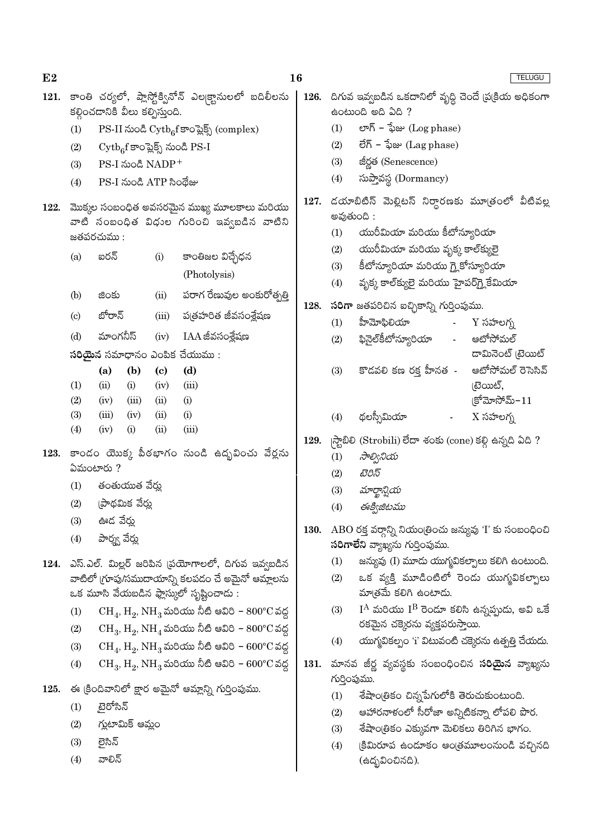| E2   |     |                                  |                 |                                     |                                                                        | 16   |                                                                                         |                                                                                        |                               |  |  |  |
|------|-----|----------------------------------|-----------------|-------------------------------------|------------------------------------------------------------------------|------|-----------------------------------------------------------------------------------------|----------------------------------------------------------------------------------------|-------------------------------|--|--|--|
| 121. |     | కల్గించడానికి వీలు కల్పిస్తుంది. |                 |                                     | కాంతి చర్యలో, ప్లాస్టోక్వినోన్ ఎల్కక్టానులలో బదిలీలను                  |      |                                                                                         | 126.  దిగువ ఇవ్వబడిన ఒకదానిలో వృద్ధి చెందే (ప(కియ అధికంగా<br>ఉంటుంది అది ఏది ?         |                               |  |  |  |
|      | (1) |                                  |                 |                                     | PS-II నుండి $\mathrm{Cytb}_6\mathrm{f}$ కాంప్లెక్స్ (complex)          |      | (1)                                                                                     | లాగ్ – ఫేజు $(\mathop{\rm Log\,phase})$                                                |                               |  |  |  |
|      | (2) |                                  |                 |                                     | $\mathrm{Cytb}_6$ f కాంప్లెక్స్ నుండి PS-I                             |      | (2)                                                                                     | లేగ్ – ఫేజు (Lag phase)                                                                |                               |  |  |  |
|      | (3) |                                  |                 | PS-I నుండి NADP <sup>+</sup>        |                                                                        |      | (3)                                                                                     | జీర్ణత (Senescence)                                                                    |                               |  |  |  |
|      | (4) |                                  |                 | PS-I నుండి ATP సింథేజు              |                                                                        |      | (4)                                                                                     | సుప్తావస్థ (Dormancy)                                                                  |                               |  |  |  |
| 122. |     |                                  |                 |                                     | మొక్కల సంబంధిత అవసరమైన ముఖ్య మూలకాలు మరియు                             | 127. | డయాబిటిస్ మెల్లిటస్ నిర్ధారణకు మూత్రంలో వీటివల్ల                                        |                                                                                        |                               |  |  |  |
|      |     |                                  |                 |                                     | వాటి సంబంధిత విధుల గురించి ఇవ్వబడిన వాటిని                             |      | అవుతుంది :                                                                              |                                                                                        |                               |  |  |  |
|      |     | జతపరచుము :                       |                 |                                     |                                                                        |      | యురీమియా మరియు కీటోన్యూరియా<br>(1)<br>యురీమియా మరియు వృక్క కాల్క్యులై<br>(2)            |                                                                                        |                               |  |  |  |
|      | (a) | ఐరన్                             |                 | (i)                                 | కాంతిజల విచ్చేధన                                                       |      |                                                                                         |                                                                                        |                               |  |  |  |
|      |     |                                  |                 |                                     | (Photolysis)                                                           |      | (3)                                                                                     | కీటోన్యూరియా మరియు గ్లైకోస్యూరియా                                                      |                               |  |  |  |
|      | (b) | జింకు                            |                 | (ii)                                | పరాగ రేణువుల అంకురోత్పత్తి                                             |      | వృక్క కాల్క్యులై మరియు హైపర్గ్లైకేమియా<br>(4)                                           |                                                                                        |                               |  |  |  |
|      | (c) | బోరాన్                           |                 | (iii)                               | ప(తహరిత జీవసంశ్లేషణ                                                    | 128. |                                                                                         | $\mathbf{\hat{a}}$ రిగా జతపరిచిన ఐచ్ఛికాన్ని గుర్తింపుము.                              |                               |  |  |  |
|      |     | మాంగనీస్                         |                 |                                     |                                                                        |      | (1)                                                                                     | హీమోఫిలియా                                                                             | Y సహలగ్న                      |  |  |  |
|      | (d) |                                  |                 | (iv)                                | $IAA$ జీవసంశ్లేషణ                                                      |      | (2)                                                                                     | ఫినైల్కీటోన్యూరియా -                                                                   | ఆటోసోమల్                      |  |  |  |
|      |     |                                  |                 |                                     | సరియైన సమాధానం ఎంపిక చేయుము:                                           |      |                                                                                         |                                                                                        | డామినెంట్ (టెయిట్             |  |  |  |
|      | (1) | (a)<br>(ii)                      | (b)<br>(i)      | $\left( \mathbf{c} \right)$<br>(iv) | (d)<br>(iii)                                                           |      | (3)                                                                                     | కొడవలి కణ రక్త హీనత -                                                                  | ఆటోసోమల్ రెసెసివ్<br>(టెయిట్, |  |  |  |
|      | (2) | (iv)                             | (iii)           | (ii)                                | (i)                                                                    |      |                                                                                         |                                                                                        | క్రోమోసోమ్ $-11$              |  |  |  |
|      | (3) | (iii)                            | (iv)            | (ii)                                | (i)                                                                    |      | (4)                                                                                     | థలస్సీమియా<br>$\sim 100$                                                               | $X$ సహలగ్న                    |  |  |  |
|      | (4) | (iv)                             | (i)             | (ii)                                | (iii)                                                                  |      |                                                                                         |                                                                                        |                               |  |  |  |
| 123. |     |                                  |                 |                                     | కాండం యొక్క పీఠభాగం నుండి ఉద్భవించు వేర్లను                            | 129. |                                                                                         | (స్టాబిలి (Strobili) లేదా శంకు (cone) కల్గి ఉన్నది ఏది ?                               |                               |  |  |  |
|      |     | ఏమంటారు ?                        |                 |                                     |                                                                        |      | సాల్వినియ<br>(1)                                                                        |                                                                                        |                               |  |  |  |
|      | (1) |                                  | తంతుయుత వేర్హు  |                                     |                                                                        |      | (2)<br>టెరిస్                                                                           |                                                                                        |                               |  |  |  |
|      | (2) |                                  | ్రపాథమిక వేర్తు |                                     |                                                                        |      | (3)<br>మార్థాన్షియ<br>ఈక్విజిటము<br>(4)                                                 |                                                                                        |                               |  |  |  |
|      | (3) | ఊడ వేర్హు                        |                 |                                     |                                                                        |      |                                                                                         |                                                                                        |                               |  |  |  |
|      | (4) | పార్మ్స వేర్లు                   |                 |                                     |                                                                        | 130. | $\bf{A} \bf{B} \bf{O}$ రక్త వర్గాన్ని నియం(తించు జన్యువు ' $\bf{\Gamma}$ ' కు సంబంధించి |                                                                                        |                               |  |  |  |
|      |     |                                  |                 |                                     |                                                                        |      |                                                                                         | <b>సరిగాలేని</b> వ్యాఖ్యను గుర్తింపుము.                                                |                               |  |  |  |
| 124. |     |                                  |                 |                                     | ఎస్.ఎల్. మిల్లర్ జరిపిన (పయోగాలలో, దిగువ ఇవ్వబడిన                      |      | (1)                                                                                     | జన్యువు (I) మూడు యుగ్మవికల్పాలు కలిగి ఉంటుంది.                                         |                               |  |  |  |
|      |     |                                  |                 |                                     | వాటిలో (గూపు/సముదాయాన్ని కలపడం చే అమైనో ఆమ్లాలను                       |      | (2)                                                                                     | ఒక వ్యక్తి మూడింటిలో రెండు యుగ్మవికల్పాలు                                              |                               |  |  |  |
|      |     |                                  |                 |                                     | ఒక మూసి వేయబడిన ఫ్లాస్కులో సృష్టించాడు :                               |      |                                                                                         | మాత్రమే కలిగి ఉంటాడు.                                                                  |                               |  |  |  |
|      | (1) |                                  |                 |                                     | $CH_4$ , $H_2$ , $NH_3$ మరియు నీటి ఆవిరి – $800^{\circ}$ C వద్ద        |      | (3)                                                                                     | $I^A$ మరియు $I^B$ రెండూ కలిసి ఉన్నప్పుడు, అవి ఒకే<br>రకమైన చక్కెరను వ్యక్తపరుస్తాయి.   |                               |  |  |  |
|      | (2) |                                  |                 |                                     | $\rm CH_3,\rm H_2,\rm NH_4$ మరియు నీటి ఆవిరి – $\rm 800^{\circ}C$ వద్ద |      | (4)                                                                                     | యుగ్మవికల్పం 'i' విటువంటి చక్కెరను ఉత్పత్తి చేయదు.                                     |                               |  |  |  |
|      | (3) |                                  |                 |                                     | $CH_4$ , $H_2$ , $NH_3$ మరియు నీటి ఆవిరి – 600°C వద్ద                  |      |                                                                                         |                                                                                        |                               |  |  |  |
|      | (4) |                                  |                 |                                     | $CH_3, H_2, NH_3$ మరియు నీటి ఆవిరి – $600^{\circ}$ C వద్ద              | 131. |                                                                                         | మానవ జీర్ణ వ్యవస్థకు సంబంధించిన <b>సరియైన</b> వ్యాఖ్యను                                |                               |  |  |  |
|      |     |                                  |                 |                                     | 125. ఈ క్రిందివానిలో క్షార అమైనో ఆమ్లాన్ని గుర్తింపుము.                |      | గుర్తింపుము.                                                                            |                                                                                        |                               |  |  |  |
|      | (1) | టైరోసిన్                         |                 |                                     |                                                                        |      | (1)                                                                                     | శేషాంత్రికం చిన్నపేగులోకి తెరుచుకుంటుంది.<br>ఆహారనాళంలో సీరోజా అన్నిటికన్నా లోపలి పొర. |                               |  |  |  |
|      | (2) |                                  | గ్మటామిక్ ఆమ్లం |                                     |                                                                        |      | (2)                                                                                     |                                                                                        |                               |  |  |  |
|      | (3) | లైసిన్                           |                 |                                     |                                                                        |      | (3)<br>(4)                                                                              | శేషాంత్రికం ఎక్కువగా మెలికలు తిరిగిన భాగం.                                             |                               |  |  |  |
|      | (4) | వాలిన్                           |                 |                                     |                                                                        |      |                                                                                         | క్రిమిరూప ఉందూకం ఆండ్రమూలంనుండి వచ్చినది<br>(ఉద్భవించినది).                            |                               |  |  |  |
|      |     |                                  |                 |                                     |                                                                        |      |                                                                                         |                                                                                        |                               |  |  |  |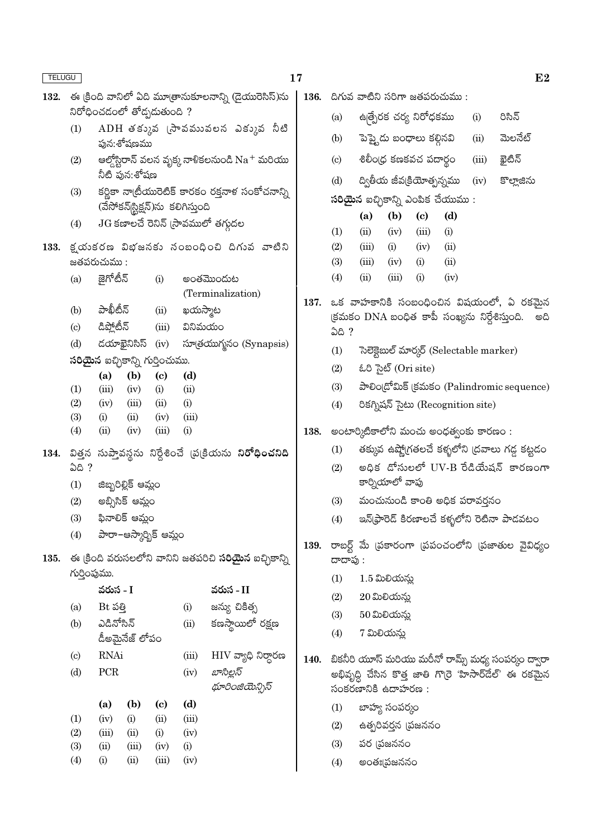| <b>TELUGU</b> |                             |                                                  |                     |                                        |                                    |                                                              | 17                |                             |                    |                      |                                     |                                          |       | E2                                                     |
|---------------|-----------------------------|--------------------------------------------------|---------------------|----------------------------------------|------------------------------------|--------------------------------------------------------------|-------------------|-----------------------------|--------------------|----------------------|-------------------------------------|------------------------------------------|-------|--------------------------------------------------------|
| 132.          |                             |                                                  |                     |                                        |                                    | ఈ క్రింది వానిలో ఏది మూత్రానుకూలనాన్ని (డైయురెసిస్)ను        |                   |                             |                    |                      |                                     | $136.$ దిగువ వాటిని సరిగా జతపరుచుము:     |       |                                                        |
|               |                             |                                                  |                     | నిరోధించడంలో తోడ్పడుతుంది ?            |                                    |                                                              |                   | (a)                         |                    |                      | ఉత్పేరక చర్య నిరోధకము               |                                          | (i)   | రిసిన్                                                 |
|               | (1)                         |                                                  | పున:శోషణము          |                                        |                                    | $ADH$ తక్కువ (సావమువలన ఎక్కువ నీటి                           |                   | (b)                         |                    |                      | పెప్త్టెడు బంధాలు కల్గినవి          |                                          | (ii)  | మెలనేట్                                                |
|               | (2)                         |                                                  |                     |                                        |                                    | ఆల్తోస్టిరాన్ వలన వృక్క నాళికలనుండి $\mathrm{Na}^+$ మరియు    |                   | $\left( \mathrm{c} \right)$ |                    |                      | శిలీం(ధ కణకవచ పదార్థం               |                                          | (iii) | ఖైటిన్                                                 |
|               |                             |                                                  | నీటి ఫున:శోషణ       |                                        |                                    |                                                              |                   | (d)                         |                    |                      |                                     | ద్వితీయ జీవక్రియోత్సన్నము                | (iv)  | కొల్హాజిను                                             |
|               | (3)                         |                                                  |                     |                                        | (వేసోకన్ స్టిక్షన్)ను కలిగిస్తుంది | కర్ణికా నాట్రీయురెటిక్ కారకం రక్తనాళ సంకోచనాన్ని             |                   |                             |                    |                      |                                     | <b>సరియైన</b> ఐచ్చికాన్ని ఎంపిక చేయుము : |       |                                                        |
|               | (4)                         |                                                  |                     |                                        |                                    | $JG$ కణాలచే రెనిన్ (సావములో తగ్గుదల                          |                   | (1)                         | (a)<br>(ii)        | (b)<br>(iv)          | $\left( \mathrm{e}\right)$<br>(iii) | (d)<br>(i)                               |       |                                                        |
| 133.          |                             |                                                  |                     |                                        |                                    | క్షయకరణ విభజనకు సంబంధించి దిగువ వాటిని                       |                   | (2)                         | (iii)              | (i)                  | (iv)                                | (ii)                                     |       |                                                        |
|               |                             | జతపరుచుము :                                      |                     |                                        |                                    |                                                              |                   | (3)                         | (iii)              | (iv)                 | (i)                                 | (ii)                                     |       |                                                        |
|               | (a)                         | జైగోటీన్                                         |                     | (i)                                    |                                    | అంతమొందుట                                                    |                   | (4)                         | (ii)               | (iii)                | (i)                                 | (iv)                                     |       |                                                        |
|               |                             |                                                  |                     |                                        |                                    | (Terminalization)                                            | 137.              |                             |                    |                      |                                     |                                          |       | ఒక వాహకానికి సంబంధించిన విషయంలో, ఏ రకమైన               |
|               | (b)                         | పాఖీటీన్                                         |                     | (ii)                                   | ఖయస్మాట                            |                                                              |                   |                             |                    |                      |                                     |                                          |       | (క్రమకం DNA బంధిత కాపీ సంఖ్యను నిర్దేశిస్తుంది.<br>అది |
|               | $\left( \mathrm{c} \right)$ | డిప్లోటీన్                                       |                     | (iii)                                  | వినిమయం                            |                                                              |                   | <b>ఏది</b> ?                |                    |                      |                                     |                                          |       |                                                        |
|               | (d)                         |                                                  | డయాఖైనిసిస్         | (iv)                                   |                                    | సూత్రయుగ్మనం (Synapsis)                                      |                   | (1)                         |                    |                      |                                     | సెలెక్టెబుల్ మార్కర్ (Selectable marker) |       |                                                        |
|               |                             |                                                  |                     | <b>సరియైన</b> ఐచ్చికాన్ని గుర్తించుము. |                                    |                                                              |                   | (2)                         |                    | ಓರಿ ಸಚಿತ್ (Ori site) |                                     |                                          |       |                                                        |
|               | (1)                         | (a)<br>(iii)                                     | (b)<br>(iv)         | $\left( \mathbf{c} \right)$<br>(i)     | (d)<br>(ii)                        |                                                              |                   | (3)                         |                    |                      |                                     |                                          |       | పాలిండ్రోమిక్ క్రమకం (Palindromic sequence)            |
|               | (2)                         | (iv)                                             | (iii)               | (ii)                                   | (i)                                |                                                              |                   | (4)                         |                    |                      |                                     | రికగ్నిషన్ సైటు (Recognition site)       |       |                                                        |
|               | (3)                         | (i)                                              | (ii)                | (iv)                                   | (iii)                              |                                                              |                   |                             |                    |                      |                                     |                                          |       |                                                        |
|               | (4)                         | (ii)                                             | (iv)                | (iii)                                  | (i)                                |                                                              | 138.              |                             |                    |                      |                                     | అంటార్మిటికాలోని మంచు అంధత్వంకు కారణం:   |       |                                                        |
|               |                             |                                                  |                     |                                        |                                    | 134. విత్తన సుప్తావస్థను నిర్దేశించే డు(కియను నిరోధించనిది   |                   | (1)                         |                    |                      |                                     |                                          |       | తక్కువ ఉష్మోగతలచే కళ్ళలోని (దవాలు గడ్డ కట్టడం          |
|               | ఏది ?                       |                                                  |                     |                                        |                                    |                                                              |                   | (2)                         |                    |                      |                                     |                                          |       | అధిక దోసులలో UV-B రేడియేషన్ కారణంగా                    |
|               | (1)                         |                                                  | జిబ్బరిల్లిక్ ఆమ్లం |                                        |                                    |                                                              |                   |                             |                    | కార్నియాలో వాపు      |                                     |                                          |       |                                                        |
|               | (2)                         |                                                  | అబ్సిసిక్ ఆమ్లం     |                                        |                                    |                                                              |                   | (3)                         |                    |                      |                                     | మంచునుండి కాంతి అధిక పరావర్షనం           |       |                                                        |
|               | (3)                         |                                                  | ఫినాలిక్ ఆమ్లం      |                                        |                                    |                                                              |                   | (4)                         |                    |                      |                                     |                                          |       | ఇన్(ఫ్రారెడ్ కిరణాలచే కళ్ళలోని రెటినా పాడవటం           |
| 135.          | (4)                         |                                                  |                     | పారా–ఆస్కార్భిక్ ఆమ్లం                 |                                    | ఈ క్రింది వరుసలలోని వానిని జతపరిచి <b>సరియైన</b> ఐచ్చికాన్ని | 139.              |                             |                    |                      |                                     |                                          |       | రాబర్ట్ మే (పకారంగా (పపంచంలోని (పజాతుల వైవిధ్యం        |
|               | గుర్తింపుము.                |                                                  |                     |                                        |                                    |                                                              |                   | దాదాపు :                    |                    |                      |                                     |                                          |       |                                                        |
|               |                             | వరుస - I                                         |                     |                                        |                                    | వరుస - II                                                    |                   | (1)                         |                    | $1.5$ మిలియన్న       |                                     |                                          |       |                                                        |
|               | (a)                         | Bt పత్తి                                         |                     |                                        | (i)                                | జన్యు చికిత్స                                                |                   | (2)                         |                    | 20 మిలియన్లు         |                                     |                                          |       |                                                        |
|               | (b)                         | ఎడినోసిన్                                        |                     |                                        | (ii)                               | కణస్థాయిలో రక్షణ                                             |                   | (3)                         |                    | 50 మిలియన్లు         |                                     |                                          |       |                                                        |
|               |                             |                                                  | డీఅమైనేజ్ లోపం      |                                        |                                    |                                                              |                   | (4)                         |                    | 7 మిలియన్లు          |                                     |                                          |       |                                                        |
|               | $\left( \mathrm{c}\right)$  | RNAi                                             |                     |                                        | (iii)                              | ${\rm HIV}$ వ్యాధి నిర్ధారణ                                  | 140.              |                             |                    |                      |                                     |                                          |       | బికనీరి యూస్ మరియు మరీనో రామ్స్ మధ్య సంపర్కం ద్వారా    |
|               | (d)                         | PCR                                              |                     |                                        | (iv)                               | బాసిల్లస్<br>థూరింజియెన్సిస్                                 |                   |                             | సంకరణానికి ఉదాహరణ: |                      |                                     |                                          |       | అభివృద్ధి చేసిన కొత్త జాతి గొ(రె 'హిసార్దేల్' ఈ రకమైన  |
|               |                             | (d)<br>(b)<br>(a)<br>$\left( \mathbf{c} \right)$ |                     |                                        |                                    | (1)                                                          |                   | బాహ్య సంపర్కం               |                    |                      |                                     |                                          |       |                                                        |
|               | (1)                         | (iv)                                             | (i)                 | (ii)                                   | (iii)                              |                                                              |                   | (2)                         |                    |                      | ఉత్పరివర్తన (పజననం                  |                                          |       |                                                        |
|               | (2)<br>(3)                  | (iii)<br>(ii)                                    | (ii)<br>(iii)       | (i)<br>(iv)                            | (iv)<br>(i)                        |                                                              |                   | (3)                         |                    | పర (పజననం            |                                     |                                          |       |                                                        |
|               | (4)                         | (iii)<br>(i)<br>(ii)<br>(iv)                     |                     |                                        |                                    |                                                              | (4)<br>అంతః¦పజననం |                             |                    |                      |                                     |                                          |       |                                                        |
|               |                             |                                                  |                     |                                        |                                    |                                                              |                   |                             |                    |                      |                                     |                                          |       |                                                        |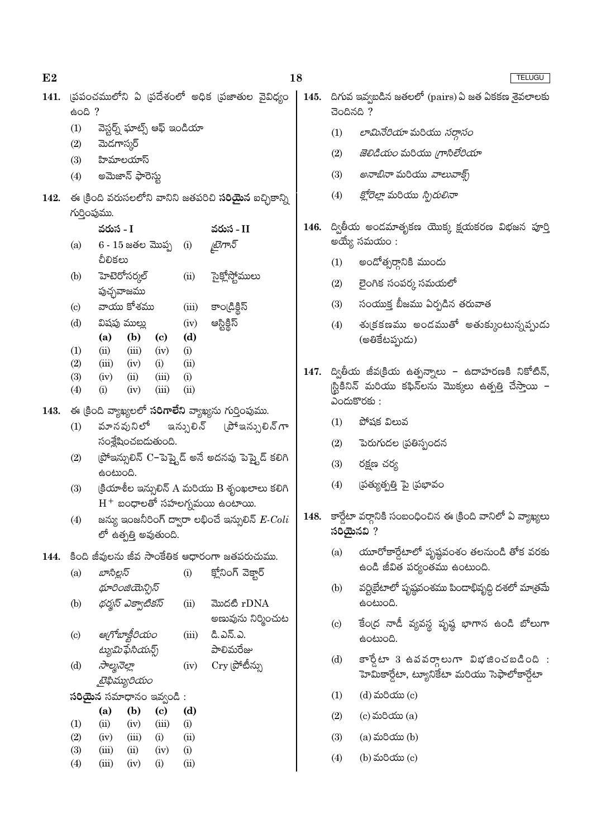| 141. | 600?                       |                                                       |              |                                      |             | (పపంచములోని ఏ (పదేశంలో అధిక (పజాతుల వైవిధ్యం                 |  | 145. దిగువ ఇవ్వబడిన జతలలో (pairs) ఏ జత ఏకకణ శైవలాలకు<br>చెందినది ? |                                                                               |  |
|------|----------------------------|-------------------------------------------------------|--------------|--------------------------------------|-------------|--------------------------------------------------------------|--|--------------------------------------------------------------------|-------------------------------------------------------------------------------|--|
|      | (1)                        | వెస్టర్న్ ఘాట్స్ ఆఫ్ ఇండియా                           |              |                                      |             |                                                              |  | (1)                                                                | లామినేరియా మరియు సర్దాసం                                                      |  |
|      | (2)                        | మెడగాస్కర్                                            |              |                                      |             |                                                              |  | (2)                                                                | <i>జెలిడియం</i> మరియు <i>గ్రాసిలేరియా</i>                                     |  |
|      | (3)<br>(4)                 | హిమాలయాస్<br>అమెజాన్ ఫారెస్టు                         |              |                                      |             |                                                              |  | (3)                                                                | <i>అనాబినా</i> మరియు <i>వాలువాక్స్</i>                                        |  |
|      |                            |                                                       |              |                                      |             |                                                              |  | (4)                                                                | <i>క్లోరెల్లా</i> మరియు <i>స్పిరులినా</i>                                     |  |
| 142. | గుర్తింపుము.               |                                                       |              |                                      |             | ఈ క్రింది వరుసలలోని వానిని జతపరిచి <b>సరియైన</b> ఐచ్చికాన్ని |  |                                                                    |                                                                               |  |
|      |                            | వరుస - I                                              |              |                                      |             | వరుస - II                                                    |  |                                                                    | 146. ద్వితీయ అండమాతృకణ యొక్క క్షయకరణ విభజన పూర్తి                             |  |
|      | (a)                        | $6 - 15$ జతల మొప్ప                                    |              |                                      | (i)         | టైగాన్                                                       |  |                                                                    | అయ్యే సమయం :                                                                  |  |
|      |                            | చీలికలు                                               |              |                                      |             |                                                              |  | (1)                                                                | అందోత్సర్గానికి ముందు                                                         |  |
|      | (b)                        | హెటెరోసర్మల్                                          |              |                                      | (ii)        | సైక్లోస్టోములు                                               |  | (2)                                                                | లైంగిక సంపర్క సమయలో                                                           |  |
|      |                            | పుచ్ఛవాజము                                            |              |                                      |             |                                                              |  |                                                                    |                                                                               |  |
|      | $\left( \mathrm{c}\right)$ | వాయు కోశము                                            |              |                                      | (iii)       | కాండ్రిక్టిస్                                                |  | (3)                                                                | సంయుక్త బీజము ఏర్పడిన తరువాత                                                  |  |
|      | (d)                        | విషపు ముల్లు<br>(a)                                   | (b)          | $\left( \mathbf{c} \right)$          | (iv)<br>(d) | అస్టిక్దిస్                                                  |  | (4)                                                                | శు(కకణము అండముతో అతుక్కుంటున్నప్పుడు<br>(అతికేటప్పుడు)                        |  |
|      | (1)                        | (ii)                                                  | (iii)        | (iv)                                 | (i)         |                                                              |  |                                                                    |                                                                               |  |
|      | (2)<br>(3)                 | (iii)<br>(iv)                                         | (iv)<br>(ii) | (i)<br>(iii)                         | (ii)<br>(i) |                                                              |  |                                                                    | 147. ద్వితీయ జీవ(కియ ఉత్పన్నాలు - ఉదాహరణకి నికోటిన్,                          |  |
|      | (4)                        | (iii)<br>(ii)<br>(i)<br>(iv)                          |              |                                      |             |                                                              |  |                                                                    | స్టికినిన్ మరియు కఫిన్లను మొక్కలు ఉత్పత్తి చేస్తాయి -                         |  |
| 143. |                            | ఈ క్రింది వ్యాఖ్యలలో సరిగాలేని వ్యాఖ్యను గుర్తింపుము. |              |                                      |             |                                                              |  |                                                                    | ఎందుకొరకు:                                                                    |  |
|      | (1)                        | వూనవునిలో                                             |              |                                      | ఇన్సులిన్   | (పోఇన్సులిన్ గా                                              |  | (1)                                                                | పోషక విలువ                                                                    |  |
|      |                            | సంశ్లేషించబడుతుంది.                                   |              |                                      |             |                                                              |  | (2)                                                                | పెరుగుదల (పతిస్పందన                                                           |  |
|      | (2)                        | ఉంటుంది.                                              |              |                                      |             | (పోఇన్సులిన్ C−పెప్కైడ్ అనే అదనపు పెప్తైడ్ కలిగి             |  | (3)                                                                | రక్షణ చర్య                                                                    |  |
|      | (3)                        |                                                       |              |                                      |             | క్రియాశీల ఇన్సులిన్ A మరియు B శృంఖలాలు కలిగి                 |  | (4)                                                                | ప్రత్యుత్పత్తి పై (పభావం                                                      |  |
|      |                            |                                                       |              |                                      |             | $\mathrm{H}^{+}$ బంధాలతో సహలగ్నమయి ఉంటాయి.                   |  |                                                                    |                                                                               |  |
|      | (4)                        | లో ఉత్పత్తి అవుతుంది.                                 |              |                                      |             | జన్యు ఇంజనీరింగ్ ద్వారా లభించే ఇన్సులిన్ $\emph{E-Coli}$     |  |                                                                    | 148. కార్డేటా వర్గానికి సంబంధించిన ఈ క్రింది వానిలో ఏ వ్యాఖ్యలు<br>సరియైనవి ? |  |
| 144. |                            |                                                       |              |                                      |             | కింది జీవులను జీవ సాంకేతిక ఆధారంగా జతపరుచుము.                |  | (a)                                                                | యూరోకార్డేటాలో పృష్ఠవంశం తలనుండి తోక వరకు                                     |  |
|      | (a)                        | బాసిల్లస్                                             |              |                                      | (i)         | క్లోనింగ్ వెక్తార్                                           |  |                                                                    | ఉండి జీవిత పర్యంతము ఉంటుంది.                                                  |  |
|      |                            | థూరింజియెన్సిస్                                       |              |                                      |             |                                                              |  | (b)                                                                | వర్టిబేటాలో పృష్ఠవంశము పిందాభివృద్ధి దశలో మాత్రమే                             |  |
|      | (b)                        | థర్మస్ ఎక్వాటికస్                                     |              |                                      | (ii)        | మొదటి rDNA                                                   |  |                                                                    | ఉంటుంది.                                                                      |  |
|      |                            |                                                       |              |                                      |             | అణువును నిర్మించుట                                           |  | $\left( \mathrm{c}\right)$                                         | కేంద్ర నాడీ వ్యవస్థ పృష్ఠ భాగాన ఉండి బోలుగా                                   |  |
|      | $\left( \mathrm{c}\right)$ | ఆగోబాక్టీరియం                                         |              |                                      | (iii)       | డి.ఎన్.ఎ.                                                    |  |                                                                    | ఉంటుంది.                                                                      |  |
|      | (d)                        | ట్యుమిఫేసియన్స్<br>సాల్మనెల్లా                        |              |                                      | (iv)        | పాలిమరేజు<br>$\mathrm{Cry}$ (పోటీన్ను                        |  | (d)                                                                | $\mathfrak{so}_2$ టా 3 ఉవవర్గాలుగా విభజించబడింది:                             |  |
|      |                            | టైఫిమ్యురియం                                          |              |                                      |             |                                                              |  |                                                                    | హెమికార్డేటా, ట్యూనికేటా మరియు సెఫాలోకార్డేటా                                 |  |
|      |                            | సరియైన సమాధానం ఇవ్వండి:                               |              |                                      |             |                                                              |  | (1)                                                                | $(d)$ మరియు $(c)$                                                             |  |
|      | (1)                        | (a)<br>(ii)                                           | (b)<br>(iv)  | $\left( \mathbf{c} \right)$<br>(iii) | (d)<br>(i)  |                                                              |  | (2)                                                                | $(c)$ మరియు $(a)$                                                             |  |
|      | (2)                        | (iv)                                                  | (iii)        | (i)                                  | (ii)        |                                                              |  | (3)                                                                | $(a)$ మరియు $(b)$                                                             |  |
|      | (3)                        | (iii)                                                 | (ii)         | (iv)                                 | (i)         |                                                              |  | (4)                                                                | (b) మరియు (c)                                                                 |  |
|      | (4)                        | (iii)                                                 | (iv)         | (i)                                  | (ii)        |                                                              |  |                                                                    |                                                                               |  |

18

TELUGU

 $E2$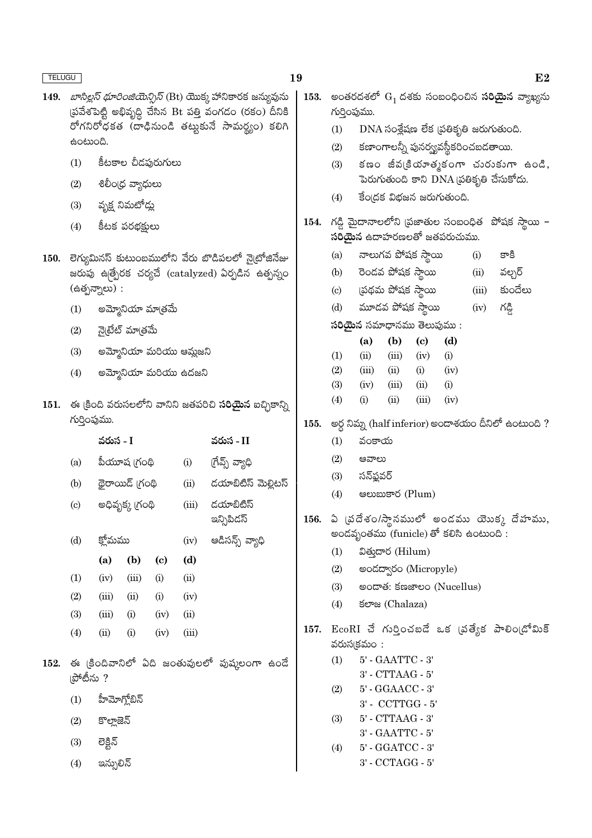- 149. *బాసిల్లస్ థూరింజియెన్సిస్* (Bt) యొక్క హానికారక జన్యువును (పవేశపెట్టి అభివృద్ధి చేసిన Bt పత్తి వంగడం (రకం) దీనికి రోగనిరోధకత (దాఢినుండి తట్టుకునే సామర్థ్యం) కలిగి ఉంటుంది.
	- కీటకాల చీడఫురుగులు  $(1)$
	- శిలీం(ధ వ్యాధులు  $(2)$
	- $(3)$ వృక్ష నిమటోడ్లు
	- కీటక పరభక్షులు  $(4)$
- 150. లెగ్యుమినస్ కుటుంబములోని వేరు బొడిపలలో నైటోజినేజు జరుపు ఉత్పేరక చర్యచే (catalyzed) ఏర్పడిన ఉత్పన్నం (ఉత్పన్నాలు):
	- అమ్మోనియా మాత్రమే  $(1)$
	- నైట్రేట్ మాత్రమే  $(2)$
	- $(3)$ అమ్మోనియా మరియు ఆమ్లజని
	- అమ్మోనియా మరియు ఉదజని  $(4)$
- 151. ఈ క్రింది వరుసలలోని వానిని జతపరిచి సరియైన ఐచ్చికాన్ని గుర్తింపుము.

|                             | వరుస - I   |                 |                            |       | వరుస - II                                    |
|-----------------------------|------------|-----------------|----------------------------|-------|----------------------------------------------|
| (a)                         |            | పీయూష (గంథి     |                            | (i)   | (గేవ్స్ వ్యాధి                               |
| (b)                         |            | థైరాయిడ్ గ్రంథి |                            | (ii)  | దయాబిటిస్ మెల్లిటస్                          |
| $\left( \mathrm{c} \right)$ |            | అధివృక్క (గంథి  |                            | (iii) | డయాబిటిస్<br>ఇన్సిపిదస్                      |
| (d)                         | క్తోమము    |                 |                            | (iv)  | ఆడిసన్స్ వ్యాధి                              |
|                             | (a)        | (b)             | $\left( \mathrm{c}\right)$ | (d)   |                                              |
| (1)                         | (iv)       | (iii)           | (i)                        | (ii)  |                                              |
| (2)                         | (iii)      | (ii)            | (i)                        | (iv)  |                                              |
| (3)                         | (iii)      | (i)             | (iv)                       | (ii)  |                                              |
| (4)                         | (ii)       | (i)             | (iv)                       | (iii) |                                              |
| ౹పోటీను ?                   |            |                 |                            |       | ఈ క్రిందివానిలో ఏది జంతువులలో పుష్కలంగా ఉండే |
| (1)                         | హీమోగోబిన్ |                 |                            |       |                                              |

- $(2)$
- కొల్తాజెన్
- లెక్టిన్  $(3)$

152.

 $(4)$ ఇన్ఫులిన్

- 19
	- 153. అంతరదశలో  $G_1$  దశకు సంబంధించిన సరియైన వ్యాఖ్యను గుర్తింపుము.
		- $DNA$  సంశ్లేషణ లేక (పతికృతి జరుగుతుంది.  $(1)$
		- కణాంగాలన్నీ పునర్య్యవస్థీకరించబడతాయి.  $(2)$
		- కణం జీవ(కియాత్మకంగా చురుకుగా ఉండి,  $(3)$ పెరుగుతుంది కాని DNA ప్రతికృతి చేసుకోదు.
		- รื่อเదรี มิฮุลล์ ลองก์อ้อด.  $(4)$
	- 154. గడ్డి మైదానాలలోని (పజాతుల సంబంధిత పోషక స్థాయి - $\tilde{\mathbf{a}}$ రియైన ఉదాహరణలతో జతపరుచుము.
		- నాలుగవ పోషక స్థాయి  $(i)$ కాకి  $(a)$
		- రెండవ పోషక స్థాయి  $(b)$  $(ii)$ వల్చర్
		- ట్రథమ పోషక స్థాయి కుందేలు  $\left( \mathrm{c}\right)$  $(iii)$
		- మూడవ పోషక స్థాయి  $(d)$  $(iv)$ గడ్డి
		- సరియైన సమాధానము తెలుపుము :

|                   | (a)      | (b)        | (c)   | (d)  |
|-------------------|----------|------------|-------|------|
| $\left( 1\right)$ | (ii)     | (iii)      | (iv)  | (i)  |
| (2)               | (iii)    | (ii)       | (i)   | (iv) |
| (3)               | (iv)     | (iii)      | (ii)  | (i)  |
| (4)               | $\rm(i)$ | $\rm (ii)$ | (iii) | (iv) |
|                   |          |            |       |      |

- 155. అర్ధ నిమ్న (half inferior) అందాశయం దీనిలో ఉంటుంది ?
	- $(1)$ వంకాయ
	- $(2)$ ಆನ್ಐಬ
	- సన్ఫ్లవర్  $(3)$
	- $(4)$ **e** (Plum)
- 156. ఏ (వదేశం/స్థానములో అండము యొక్క దేహము, అండవృంతము (funicle) తో కలిసి ఉంటుంది:
	- $(1)$ విత్తుదార (Hilum)
	- $(2)$ అండద్వారం (Micropyle)
	- මංයාණ: ජඝෂාවර (Nucellus)  $(3)$
	- $(4)$ ජලාස (Chalaza)
- 157. EcoRI చే గుర్తించబడే ఒక (వత్యేక పాలిం(డోమిక్ వరుస $($ కమం:
	- 5' GAATTC 3'  $(1)$ 
		- 3' CTTAAG 5'
	- $(2)$ 5' - GGAACC - 3'
		- 3' CCTTGG 5'
	- 5' CTTAAG 3'  $(3)$  $3'$  -  $GAATTC$  -  $5'$
	- 5' GGATCC 3'  $(4)$ 3' - CCTAGG - 5'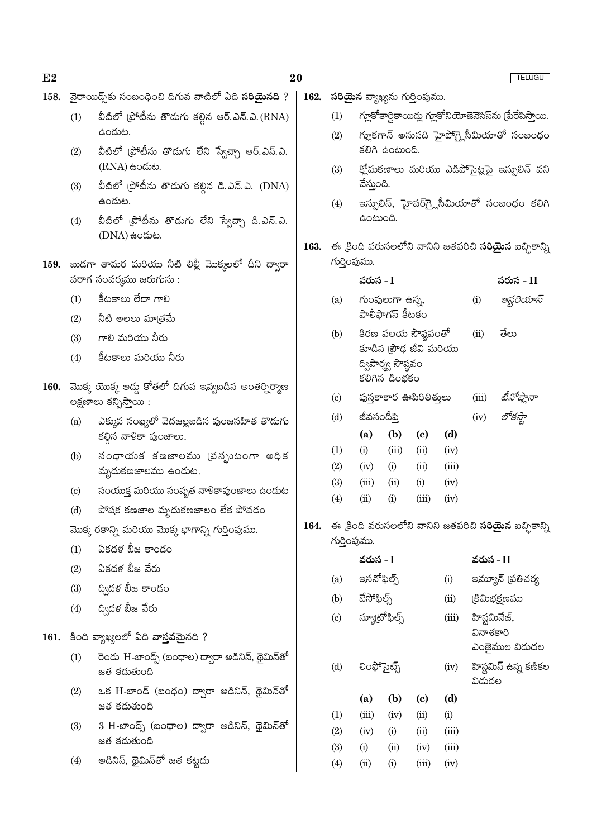| E2   |                                                         |                                                                 | 20<br><b>TELUGU</b> |                                                                              |                                                                                                      |                                      |              |               |               |                                                              |
|------|---------------------------------------------------------|-----------------------------------------------------------------|---------------------|------------------------------------------------------------------------------|------------------------------------------------------------------------------------------------------|--------------------------------------|--------------|---------------|---------------|--------------------------------------------------------------|
| 158. |                                                         | వైరాయిద్స్ట్ సంబంధించి దిగువ వాటిలో ఏది <b>సరియైనది</b> ?       | 162.                |                                                                              |                                                                                                      | <b>సరియైన</b> వ్యాఖ్యను గుర్తింపుము. |              |               |               |                                                              |
|      | (1)                                                     | వీటిలో (పోటీను తొడుగు కల్గిన ఆర్.ఎన్.ఎ.(RNA)                    |                     | (1)                                                                          | గ్లూకోకార్టికాయిడ్లు గ్లూకోనియోజెనెసిస్సు (పేరేపిస్తాయి.<br>గ్లూకగాన్ అనునది హైపోగ్లైసీమియాతో సంబంధం |                                      |              |               |               |                                                              |
|      |                                                         | ఉందుట.                                                          |                     | (2)                                                                          |                                                                                                      |                                      |              |               |               |                                                              |
|      | (2)                                                     | వీటిలో (పోటీను తొడుగు లేని స్వేచ్చా ఆర్.ఎన్.ఎ.                  |                     |                                                                              |                                                                                                      | కలిగి ఉంటుంది.                       |              |               |               |                                                              |
|      |                                                         | $(RNA)$ ఉందుట.                                                  |                     | (3)                                                                          |                                                                                                      |                                      |              |               |               | క్లోమకణాలు మరియు ఎడిపోసైట్లపై ఇన్సులిన్ పని                  |
|      | (3)                                                     | వీటిలో (పోటీను తొడుగు కల్గిన డి.ఎన్.ఎ. (DNA)<br>ఉందుట.          |                     |                                                                              | చేస్తుంది.                                                                                           |                                      |              |               |               |                                                              |
|      |                                                         |                                                                 |                     | (4)                                                                          | ఉంటుంది.                                                                                             |                                      |              |               |               | ఇన్సులిన్, హైపర్గ్లెసీమియాతో సంబంధం కలిగి                    |
|      | (4)                                                     | వీటిలో (పోటీను తొడుగు లేని స్వేచ్చా డి.ఎన్.ఎ.<br>(DNA) සංයාහ.   |                     |                                                                              |                                                                                                      |                                      |              |               |               |                                                              |
|      |                                                         |                                                                 | 163.                |                                                                              |                                                                                                      |                                      |              |               |               | ఈ క్రింది వరుసలలోని వానిని జతపరిచి <b>సరియైన</b> ఐచ్చికాన్ని |
|      | 159.  బుడగా తామర మరియు నీటి లిల్లీ మొక్కలలో దీని ద్వారా |                                                                 |                     | గుర్తింపుము.                                                                 |                                                                                                      |                                      |              |               |               |                                                              |
|      | పరాగ సంపర్మము జరుగును :                                 |                                                                 |                     |                                                                              | వరుస - I                                                                                             |                                      |              |               |               | వరుస - II                                                    |
|      | (1)                                                     | కీటకాలు లేదా గాలి                                               |                     | గుంపులుగా ఉన్న,<br>(a)<br>పాలీఫాగస్ కీటకం                                    |                                                                                                      |                                      |              | (i)           | ఆస్టరియాస్    |                                                              |
|      | (2)                                                     | నీటి అలలు మాత్రమే                                               |                     | (b)                                                                          | కిరణ వలయ సౌష్ఠవంతో                                                                                   |                                      |              |               | (ii)          | తేలు                                                         |
|      | (3)                                                     | గాలి మరియు నీరు                                                 |                     |                                                                              |                                                                                                      | కూడిన (పౌఢ జీవి మరియు                |              |               |               |                                                              |
|      | (4)                                                     | కిటకాలు మరియు నీరు                                              |                     |                                                                              |                                                                                                      | ద్విపార్మ్స సౌష్ఠవం                  |              |               |               |                                                              |
| 160. |                                                         | మొక్క యొక్క అడ్డు కోతలో దిగువ ఇవ్వబడిన అంతర్నిర్మాణ             |                     |                                                                              | కలిగిన డింభకం                                                                                        |                                      |              |               |               |                                                              |
|      |                                                         | లక్షణాలు కన్పిస్తాయి :                                          |                     | $\left( \mathrm{c}\right)$                                                   | పుస్తకాకార ఊపిరితితులు                                                                               |                                      | (iii)        | టినోప్తానా    |               |                                                              |
|      | (a)                                                     | ఎక్కువ సంఖ్యలో వెదజల్లబడిన పుంజసహిత తొడుగు                      |                     | (d)                                                                          | జీవసందీప్తి                                                                                          |                                      |              | (iv)          |               |                                                              |
|      |                                                         | కల్లిన నాళికా పుంజాలు.                                          |                     |                                                                              | (a)                                                                                                  | (b)                                  | (c)          | (d)           |               |                                                              |
|      | (b)                                                     | నంధాయక కణజాలము (వన్పుటంగా అధిక                                  |                     | (1)<br>(2)                                                                   | (i)<br>(iv)                                                                                          | (iii)<br>(i)                         | (ii)<br>(ii) | (iv)<br>(iii) |               |                                                              |
|      |                                                         | మృదుకణజాలము ఉందుట.                                              |                     | (3)                                                                          | (iii)                                                                                                | (ii)                                 | (i)          | (iv)          |               |                                                              |
|      | $\left( \mathrm{c}\right)$                              | సంయుక్త మరియు సంవృత నాళికాపుంజాలు ఉందుట                         |                     | (4)                                                                          | (ii)                                                                                                 | (i)                                  | (iii)        | (iv)          |               |                                                              |
|      | (d)                                                     | పోషక కణజాల మృదుకణజాలం లేక పోవడం                                 |                     |                                                                              |                                                                                                      |                                      |              |               |               |                                                              |
|      | మొక్క రకాన్ని మరియు మొక్క భాగాన్ని గుర్తింపుము.         |                                                                 | 164.                | ఈ క్రింది వరుసలలోని వానిని జతపరిచి <b>సరియైన</b> ఐచ్చికాన్ని<br>గుర్తింపుము. |                                                                                                      |                                      |              |               |               |                                                              |
|      | (1)                                                     | ఏకదళ బీజ కాండం                                                  |                     |                                                                              | వరుస - I                                                                                             |                                      |              |               | వరుస - II     |                                                              |
|      | (2)                                                     | ఏకదళ బీజ వేరు                                                   |                     | (a)                                                                          | ఇసనోఫిల్స్                                                                                           |                                      |              | (i)           |               | ఇమ్యూన్ (పతిచర్య                                             |
|      | (3)                                                     | ద్విదళ బీజ కాండం                                                |                     | (b)                                                                          | బేసోఫిల్స్                                                                                           |                                      |              | (ii)          | క్రిమిభక్షణము |                                                              |
|      | (4)                                                     | ద్విదళ బీజ వేరు                                                 |                     | $\left( \mathrm{c}\right)$                                                   | స్యూటోఫిల్స్                                                                                         |                                      |              | (iii)         | హిస్టమినేజ్,  |                                                              |
|      |                                                         | 161. కింది వ్యాఖ్యలలో ఏది వాస్తవమైనది ?                         |                     |                                                                              |                                                                                                      |                                      |              |               | వినాశకారి     |                                                              |
|      |                                                         |                                                                 |                     |                                                                              |                                                                                                      |                                      |              |               |               | ఎంజైముల విడుదల                                               |
|      | (1)                                                     | రెండు H-బాండ్స్ (బంధాల) ద్వారా అడినిన్, థైమిన్తో<br>జత కడుతుంది |                     | (d)                                                                          | లింఫోసైట్స్                                                                                          |                                      |              | (iv)          |               | హిస్టమిన్ ఉన్న కణికల                                         |
|      | (2)                                                     | ఒక H-బాండ్ (బంధం) ద్వారా అడినిన్, థైమిన్తో                      |                     |                                                                              |                                                                                                      |                                      |              |               | విడుదల        |                                                              |
|      |                                                         | జత కడుతుంది                                                     |                     |                                                                              | (a)                                                                                                  | (b)                                  | (c)          | (d)           |               |                                                              |
|      | (3)                                                     | 3 H-బాండ్స్ (బంధాల) ద్వారా అడినిన్, థైమిన్తో                    |                     | (1)<br>(2)                                                                   | (iii)<br>(iv)                                                                                        | (iv)<br>(i)                          | (ii)<br>(ii) | (i)<br>(iii)  |               |                                                              |
|      |                                                         | జత కడుతుంది                                                     |                     | (3)                                                                          | (i)                                                                                                  | (ii)                                 | (iv)         | (iii)         |               |                                                              |
|      | (4)                                                     | అడినిన్, థైమిన్తో జత కట్టదు                                     |                     | (4)                                                                          | (ii)                                                                                                 | (i)                                  | (iii)        | (iv)          |               |                                                              |
|      |                                                         |                                                                 |                     |                                                                              |                                                                                                      |                                      |              |               |               |                                                              |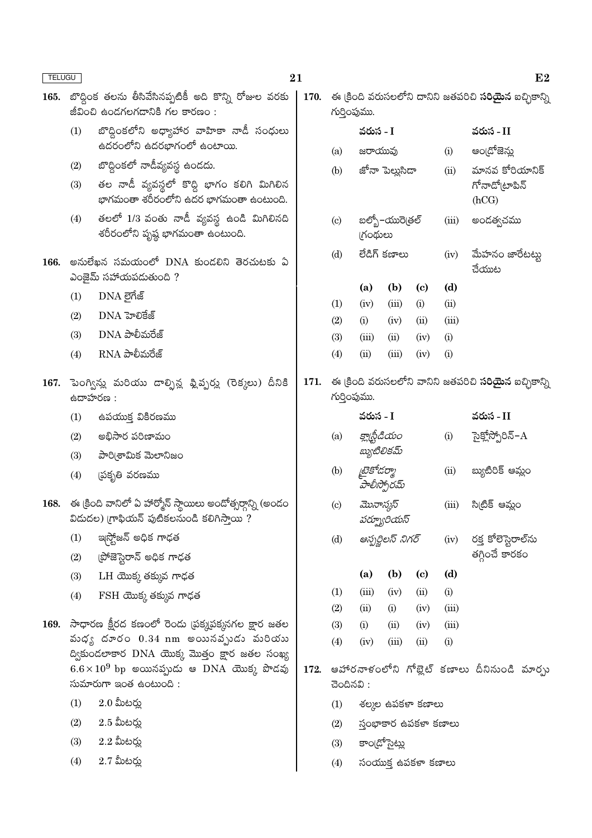| TELUGU |                                                                                                                 |                                                                                                                        | $\bf{21}$ |                                                                              |                                              |                     |                             |                          | $\bf{E2}$                                 |  |  |
|--------|-----------------------------------------------------------------------------------------------------------------|------------------------------------------------------------------------------------------------------------------------|-----------|------------------------------------------------------------------------------|----------------------------------------------|---------------------|-----------------------------|--------------------------|-------------------------------------------|--|--|
| 165.   | బొద్దింక తలను తీసివేసినప్పటికీ అది కొన్ని రోజుల వరకు<br>జీవించి ఉండగలగడానికి గల కారణం:                          |                                                                                                                        | 170.      | ఈ క్రింది వరుసలలోని దానిని జతపరిచి <b>సరియైన</b> ఐచ్చికాన్ని<br>గుర్తింపుము. |                                              |                     |                             |                          |                                           |  |  |
|        | (1)                                                                                                             | బొద్దింకలోని అధ్యాహార వాహికా నాడీ సంధులు                                                                               |           |                                                                              | వరుస - I                                     |                     |                             |                          | వరుస - II                                 |  |  |
|        |                                                                                                                 | ఉదరంలోని ఉదరభాగంలో ఉంటాయి.                                                                                             |           | (a)                                                                          | జరాయువు                                      |                     |                             | (i)                      | అం[దోజెన్లు                               |  |  |
|        | (2)<br>(3)                                                                                                      | బొద్దింకలో నాడీవ్యవస్థ ఉండదు.<br>తల నాడీ వ్యవస్థలో కొద్ది భాగం కలిగి మిగిలిన<br>భాగమంతా శరీరంలోని ఉదర భాగమంతా ఉంటుంది. |           | (b)                                                                          |                                              | జోనా పెల్లుసిడా     |                             | (ii)                     | మానవ కోరియానిక్<br>గోనాడో(టాపిన్<br>(hCG) |  |  |
|        | (4)                                                                                                             | తలలో 1/3 వంతు నాడీ వ్యవస్థ ఉండి మిగిలినది<br>శరీరంలోని పృష్ఠ భాగమంతా ఉంటుంది.                                          |           | $\left( \mathrm{c} \right)$                                                  | బల్బో–యురె[తల్<br><b>గ్రంథులు</b>            |                     |                             | (iii)                    | అందత్వచము                                 |  |  |
| 166.   | అనులేఖన సమయంలో DNA కుండలిని తెరచుటకు ఏ<br>ఎంజైమ్ సహాయపడుతుంది ?                                                 |                                                                                                                        |           | లేడిగ్ కణాలు<br>(d)                                                          |                                              |                     | (iv)                        | మేహనం జారేటట్టు<br>చేయుట |                                           |  |  |
|        | (1)                                                                                                             | DNA లైగేజ్                                                                                                             |           |                                                                              | (a)                                          | (b)                 | $\left( \mathbf{c} \right)$ | (d)                      |                                           |  |  |
|        | (2)                                                                                                             | DNA హెలికేజ్                                                                                                           |           | (1)                                                                          | (iv)                                         | (iii)               | (i)                         | (ii)                     |                                           |  |  |
|        | (3)                                                                                                             | $DNA$ పాలీమరేజ్                                                                                                        |           | (2)                                                                          | (i)                                          | (iv)                | (ii)                        | (iii)                    |                                           |  |  |
|        | (4)                                                                                                             | $RNA$ పాలీమరేజ్                                                                                                        |           | (3)<br>(4)                                                                   | (iii)<br>(ii)                                | (ii)<br>(iii)       | (iv)<br>(iv)                | (i)<br>(i)               |                                           |  |  |
|        |                                                                                                                 |                                                                                                                        |           |                                                                              |                                              |                     |                             |                          |                                           |  |  |
|        | 167. పెంగ్విన్లు మరియు డాల్ఫిన్ల ఫ్లిప్పర్లు (రెక్కలు) దీనికి<br>ఉదాహరణ:                                        |                                                                                                                        | 171.      | ఈ క్రింది వరుసలలోని వానిని జతపరిచి <b>సరియైన</b> ఐచ్చికాన్ని<br>గుర్తింపుము. |                                              |                     |                             |                          |                                           |  |  |
|        | (1)                                                                                                             | ఉపయుక్త వికిరణము                                                                                                       |           |                                                                              | వరుస - I                                     |                     |                             |                          | వరుస - II                                 |  |  |
|        | (2)                                                                                                             | అభిసార పరిణామం                                                                                                         |           | (a)                                                                          |                                              | క్లాథ్టీడియం        |                             | (i)                      | సైక్లోస్పోరిన్–A                          |  |  |
|        | (3)                                                                                                             | పారి(శామిక మెలానిజం                                                                                                    |           |                                                                              |                                              | బ్యుటిలికమ్         |                             |                          |                                           |  |  |
|        | (4)                                                                                                             | (పకృతి వరణము                                                                                                           |           | (b)                                                                          | టైకోడర్మా<br>హేలీస్పోరమ్                     |                     |                             | (ii)                     | బ్యుటిరిక్ ఆమ్లం                          |  |  |
|        | 168.   ఈ క్రింది వానిలో ఏ హార్మోన్ స్థాయిలు అందోత్సర్గాన్ని (అండం<br>విడుదల) (గాఫియన్ పుటికలనుండి కలిగిస్తాయి ? |                                                                                                                        |           | మొనాస్కస్<br>$\left( \mathrm{c}\right)$<br>పర్మ్యూరియస్                      |                                              |                     |                             | (iii)                    | సి(టిక్ ఆమ్లం                             |  |  |
|        | (1)                                                                                                             | ఇస్టోజన్ అధిక గాఢత                                                                                                     |           | ఆస్పర్జిలస్ నిగర్<br>(d)                                                     |                                              |                     |                             | (iv)                     | రక్త కోలెస్టెరాల్సు                       |  |  |
|        | (2)                                                                                                             | ప్రోజెస్టెరాన్ అధిక గాఢత                                                                                               |           |                                                                              |                                              |                     |                             |                          | తగ్గించే కారకం                            |  |  |
|        | (3)                                                                                                             | $LH$ యొక్క తక్కువ గాఢత                                                                                                 |           |                                                                              | (a)                                          | (b)                 | $\left( \mathbf{c} \right)$ | (d)                      |                                           |  |  |
|        | (4)                                                                                                             | FSH యొక్క తక్కువ గాఢత                                                                                                  |           | (1)                                                                          | (iii)                                        | (iv)                | (ii)                        | (i)                      |                                           |  |  |
|        |                                                                                                                 |                                                                                                                        |           | (2)                                                                          | (ii)                                         | (i)                 | (iv)                        | (iii)                    |                                           |  |  |
| 169.   | సాధారణ క్షీరద కణంలో రెండు (పక్కపక్కనగల క్షార జతల<br>వుధ్య దూరం $0.34$ nm అయినవృుడు మరియు                        |                                                                                                                        |           | (3)                                                                          | (i)                                          | (ii)<br>(iii)       | (iv)                        | (iii)                    |                                           |  |  |
|        | ద్వికుండలాకార DNA యొక్క మొత్తం క్షార జతల సంఖ్య                                                                  |                                                                                                                        |           | (4)                                                                          | (iv)                                         |                     | (ii)                        | (i)                      |                                           |  |  |
|        | $6.6 \times 10^9$ bp అయినప్పుడు ఆ DNA యొక్క పొడవు                                                               |                                                                                                                        | 172.      |                                                                              | ఆహారనాళంలోని గోబ్లెట్ కణాలు దీనినుండి మార్పు |                     |                             |                          |                                           |  |  |
|        | సుమారుగా ఇంత ఉంటుంది:                                                                                           |                                                                                                                        |           | చెందినవి:                                                                    |                                              |                     |                             |                          |                                           |  |  |
|        | (1)                                                                                                             | $2.0$ మీటర్లు                                                                                                          |           | (1)                                                                          | శల్మల ఉపకళా కణాలు                            |                     |                             |                          |                                           |  |  |
|        | (2)                                                                                                             | $2.5$ మీటర్లు                                                                                                          |           | స్తంభాకార ఉపకళా కణాలు<br>(2)<br>కాం[దోసైట్లు<br>(3)                          |                                              |                     |                             |                          |                                           |  |  |
|        | (3)                                                                                                             | $2.2$ మీటర్లు                                                                                                          |           |                                                                              |                                              |                     |                             |                          |                                           |  |  |
|        | (4)                                                                                                             | $2.7$ మీటర్లు                                                                                                          |           | (4)                                                                          |                                              | సంయుక్త ఉపకళా కణాలు |                             |                          |                                           |  |  |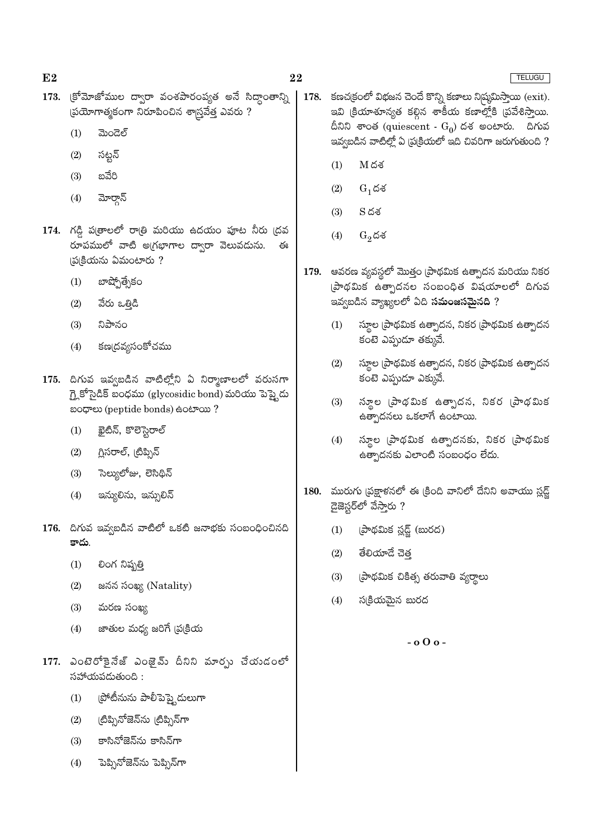TELUGU

- 173. క్రోమోజోముల ద్వారా వంశపారంప్యత అనే సిద్ధాంతాన్ని  $\beta$ బేయోగాత్మకంగా నిరూపించిన శాస్త్రవేత్త ఎవరు ?
	- ಮಂದಲ್  $(1)$
	- సట్టన్  $(2)$
	- బవేరి  $(3)$
	- మోర్గాన్  $(4)$
- 174. గడ్డి పత్రాలలో రాత్రి మరియు ఉదయం పూట నీరు (దవ రూపములో వాటి అగ్రభాగాల ద్వారా వెలువడును. ఈ (ప(కియను ఏమంటారు?
	- బాష్పోత్సేకం  $(1)$
	- $(2)$ వేరు ఒత్తిడి
	- నిపానం  $(3)$
	- కణ(దవ్యసంకోచము  $(4)$
- 175. దిగువ ఇవ్వబడిన వాటిల్లోని ఏ నిర్మాణాలలో వరుసగా గ్లై కోసైడిక్ బంధము (glycosidic bond) మరియు పెప్టైదు හංග (peptide bonds) සංහංග ?
	- ఖైటిన్, కొలెస్టెరాల్  $(1)$
	- $(2)$ గ్రిసరాల్, (టిప్నిన్
	- సెల్యులోజు, లెసిథిన్  $(3)$
	- $(4)$ ఇన్యులిను, ఇన్సులిన్
- 176. దిగువ ఇవ్వబడిన వాటిలో ఒకటి జనాభకు సంబంధించినది కాదు
	- లింగ నిష్పత్తి  $(1)$
	- జనన సంఖ్య (Natality)  $(2)$
	- $(3)$ మరణ సంఖ్య
	- జాతుల మధ్య జరిగే (ప్రక్రియ  $(4)$
- 177. ఎంటెరోకైనేజ్ ఎంజైమ్ దీనిని మార్సు చేయడంలో  $\delta$ హోయపడుతుంది:
	- (పోటీనును పాలీపెప్తై దులుగా  $(1)$
	- (టిప్సినోజెన్ను (టిప్సిన్గా  $(2)$
	- కాసినోజెన్ను కాసిన్గా  $(3)$
	- ెపెప్పినోజెన్ను పెప్పిన్గా  $(4)$
- 178. కణచ(కంలో విభజన చెందే కొన్ని కణాలు నిష్మమిస్తాయి (exit). ఇవి క్రియాశూన్యత కల్గిన శాకీయ కణాల్లోకి (పవేశిస్తాయి. దీనిని శాంత (quiescent -  $G_0$ ) దశ అంటారు. దిగువ ఇవ్వబడిన వాటిల్లో ఏ ప్రుక్రియలో ఇది చివరిగా జరుగుతుంది ?
	- $(1)$  $M$ దశ
	- $(2)$  $G_1$ దశ
	- $(3)$  $S \, \breve{\circ} \breve{\circ}$
	- $(4)$  $G_2$ దశ
- 179. ఆవరణ వ్యవస్థలో మొత్తం (పాథమిక ఉత్పాదన మరియు నికర (పాథమిక ఉత్పాదనల సంబంధిత విషయాలలో దిగువ ఇవ్వబడిన వ్యాఖ్యలలో ఏది **సమంజసమైనది** ?
	- స్థూల (పాథమిక ఉత్పాదన, నికర (పాథమిక ఉత్పాదన  $(1)$ కంటె ఎప్పుడూ తక్కువే.
	- $(2)$ స్థూల (పాథమిక ఉత్పాదన, నికర (పాథమిక ఉత్పాదన కంటె ఎప్పుడూ ఎక్కువే.
	- స్థూల (పాథమిక ఉత్పాదన, నికర (పాథమిక  $(3)$ ఉత్పాదనలు ఒకలాగే ఉంటాయి.
	- స్థూల (పాథమిక ఉత్పాదనకు, నికర (పాథమిక  $(4)$ ఉత్పాదనకు ఎలాంటి సంబంధం లేదు.
- 180. మురుగు (పక్షాళనలో ఈ క్రింది వానిలో దేనిని అవాయు స్లడ్జ్ డైజెస్టర్లో వేసారు ?
	- (పాథమిక స్లడ్జ్ (బురద)  $(1)$
	- తేలియాదే చెత్త  $(2)$
	- (పాథమిక చికిత్స తరువాతి వ్యర్థాలు  $(3)$
	- $(4)$ సక్రియమైన బురద

 $-$  0  $0$  o  $-$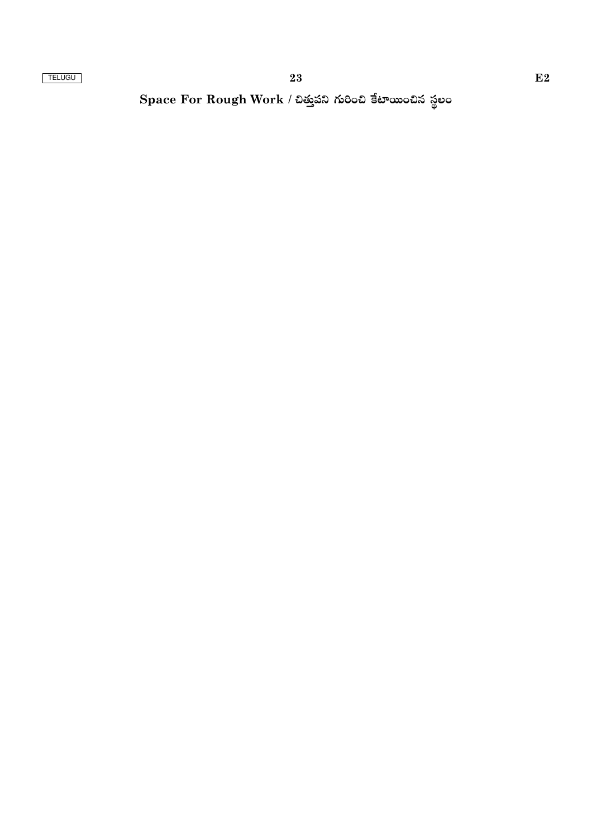Space For Rough Work / చిత్తుపని గురించి కేటాయించిన స్థలం